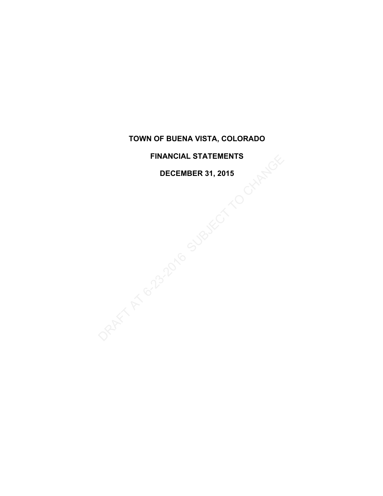### **FINANCIAL STATEMENTS**

### **DECEMBER 31, 2015**

PINANCIAL STATEMENTS<br>DECEMBER 31, 2015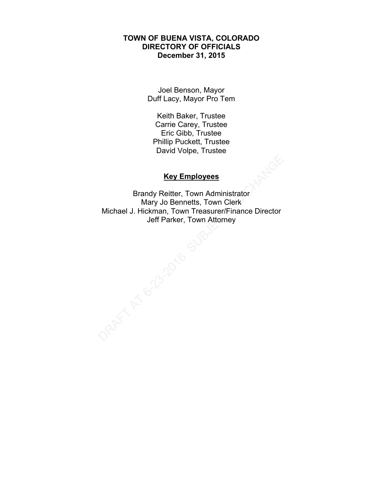### **TOWN OF BUENA VISTA, COLORADO DIRECTORY OF OFFICIALS December 31, 2015**

Joel Benson, Mayor Duff Lacy, Mayor Pro Tem

Keith Baker, Trustee Carrie Carey, Trustee Eric Gibb, Trustee Phillip Puckett, Trustee David Volpe, Trustee

# **Key Employees**

Brandy Reitter, Town Administrator Mary Jo Bennetts, Town Clerk Michael J. Hickman, Town Treasurer/Finance Director Jeff Parker, Town Attorney RAFT AT 6-23-2016 SU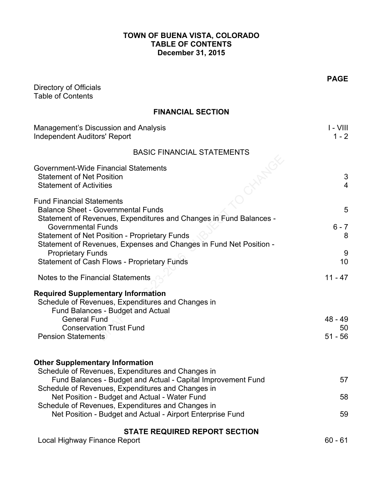# **TOWN OF BUENA VISTA, COLORADO TABLE OF CONTENTS December 31, 2015**

| Directory of Officials<br><b>Table of Contents</b>                                                                                                                                                                                                                                                                                                                                               | <b>PAGE</b>                  |
|--------------------------------------------------------------------------------------------------------------------------------------------------------------------------------------------------------------------------------------------------------------------------------------------------------------------------------------------------------------------------------------------------|------------------------------|
| <b>FINANCIAL SECTION</b>                                                                                                                                                                                                                                                                                                                                                                         |                              |
| <b>Management's Discussion and Analysis</b><br><b>Independent Auditors' Report</b>                                                                                                                                                                                                                                                                                                               | $I - VIII$<br>$1 - 2$        |
| <b>BASIC FINANCIAL STATEMENTS</b>                                                                                                                                                                                                                                                                                                                                                                |                              |
| Government-Wide Financial Statements<br><b>Statement of Net Position</b><br><b>Statement of Activities</b>                                                                                                                                                                                                                                                                                       | 3<br>$\overline{4}$          |
| <b>Fund Financial Statements</b><br><b>Balance Sheet - Governmental Funds</b><br>Statement of Revenues, Expenditures and Changes in Fund Balances -<br><b>Governmental Funds</b><br><b>Statement of Net Position - Proprietary Funds</b><br>Statement of Revenues, Expenses and Changes in Fund Net Position -<br><b>Proprietary Funds</b><br><b>Statement of Cash Flows - Proprietary Funds</b> | 5<br>$6 - 7$<br>8<br>9<br>10 |
| Notes to the Financial Statements                                                                                                                                                                                                                                                                                                                                                                | $11 - 47$                    |
| <b>Required Supplementary Information</b><br>Schedule of Revenues, Expenditures and Changes in<br>Fund Balances - Budget and Actual<br><b>General Fund</b><br><b>Conservation Trust Fund</b><br><b>Pension Statements</b>                                                                                                                                                                        | $48 - 49$<br>50<br>$51 - 56$ |
| <b>Other Supplementary Information</b><br>Schedule of Revenues, Expenditures and Changes in<br>Fund Balances - Budget and Actual - Capital Improvement Fund<br>Schedule of Revenues, Expenditures and Changes in<br>Net Position - Budget and Actual - Water Fund<br>Schedule of Revenues, Expenditures and Changes in<br>Net Position - Budget and Actual - Airport Enterprise Fund             | 57<br>58<br>59               |
| <b>STATE REQUIRED REPORT SECTION</b>                                                                                                                                                                                                                                                                                                                                                             | $60 - 61$                    |
| Local Highway Finance Report                                                                                                                                                                                                                                                                                                                                                                     |                              |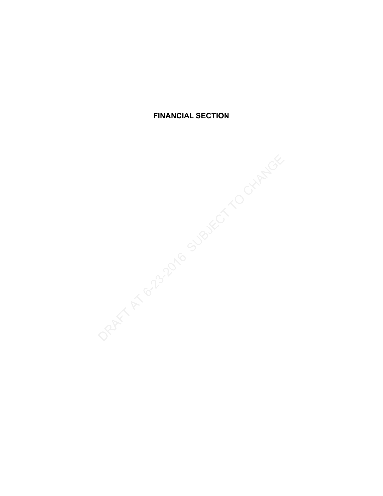**FINANCIAL SECTION**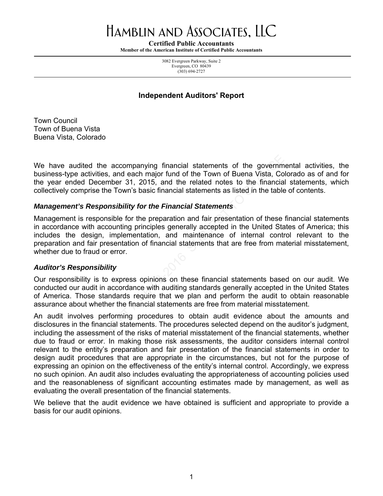# Hamblin and Associates, LLC

**Certified Public Accountants** 

**Member of the American Institute of Certified Public Accountants** 

3082 Evergreen Parkway, Suite 2 Evergreen, CO 80439 (303) 694-2727

### **Independent Auditors' Report**

Town Council Town of Buena Vista Buena Vista, Colorado

We have audited the accompanying financial statements of the governmental activities, the business-type activities, and each major fund of the Town of Buena Vista, Colorado as of and for the year ended December 31, 2015, and the related notes to the financial statements, which collectively comprise the Town's basic financial statements as listed in the table of contents.

### *Management's Responsibility for the Financial Statements*

Management is responsible for the preparation and fair presentation of these financial statements in accordance with accounting principles generally accepted in the United States of America; this includes the design, implementation, and maintenance of internal control relevant to the preparation and fair presentation of financial statements that are free from material misstatement, whether due to fraud or error. the accompanying financial statements of the governm<br>ties, and each major fund of the Town of Buena Vista, Co<br>cember 31, 2015, and the related notes to the financia<br>the Town's basic financial statements as listed in the ta

### *Auditor's Responsibility*

Our responsibility is to express opinions on these financial statements based on our audit. We conducted our audit in accordance with auditing standards generally accepted in the United States of America. Those standards require that we plan and perform the audit to obtain reasonable assurance about whether the financial statements are free from material misstatement.

An audit involves performing procedures to obtain audit evidence about the amounts and disclosures in the financial statements. The procedures selected depend on the auditor's judgment, including the assessment of the risks of material misstatement of the financial statements, whether due to fraud or error. In making those risk assessments, the auditor considers internal control relevant to the entity's preparation and fair presentation of the financial statements in order to design audit procedures that are appropriate in the circumstances, but not for the purpose of expressing an opinion on the effectiveness of the entity's internal control. Accordingly, we express no such opinion. An audit also includes evaluating the appropriateness of accounting policies used and the reasonableness of significant accounting estimates made by management, as well as evaluating the overall presentation of the financial statements.

We believe that the audit evidence we have obtained is sufficient and appropriate to provide a basis for our audit opinions.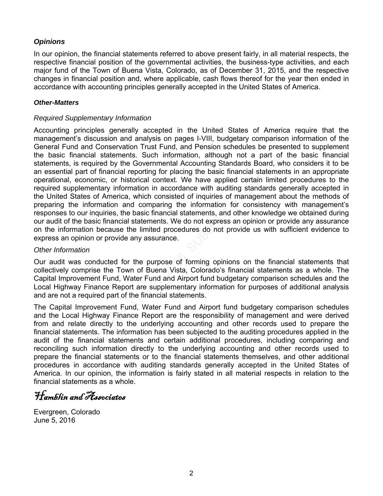# *Opinions*

In our opinion, the financial statements referred to above present fairly, in all material respects, the respective financial position of the governmental activities, the business-type activities, and each major fund of the Town of Buena Vista, Colorado, as of December 31, 2015, and the respective changes in financial position and, where applicable, cash flows thereof for the year then ended in accordance with accounting principles generally accepted in the United States of America.

### *Other-Matters*

### *Required Supplementary Information*

Accounting principles generally accepted in the United States of America require that the management's discussion and analysis on pages I-VIII, budgetary comparison information of the General Fund and Conservation Trust Fund, and Pension schedules be presented to supplement the basic financial statements. Such information, although not a part of the basic financial statements, is required by the Governmental Accounting Standards Board, who considers it to be an essential part of financial reporting for placing the basic financial statements in an appropriate operational, economic, or historical context. We have applied certain limited procedures to the required supplementary information in accordance with auditing standards generally accepted in the United States of America, which consisted of inquiries of management about the methods of preparing the information and comparing the information for consistency with management's responses to our inquiries, the basic financial statements, and other knowledge we obtained during our audit of the basic financial statements. We do not express an opinion or provide any assurance on the information because the limited procedures do not provide us with sufficient evidence to express an opinion or provide any assurance. statements. Such information, attrough not a part or<br>red by the Governmental Accounting Standards Board, wh<br>financial reporting or placing the basic financial statementic, or historical context. We have applied certain lim

### *Other Information*

Our audit was conducted for the purpose of forming opinions on the financial statements that collectively comprise the Town of Buena Vista, Colorado's financial statements as a whole. The Capital Improvement Fund, Water Fund and Airport fund budgetary comparison schedules and the Local Highway Finance Report are supplementary information for purposes of additional analysis and are not a required part of the financial statements.

The Capital Improvement Fund, Water Fund and Airport fund budgetary comparison schedules and the Local Highway Finance Report are the responsibility of management and were derived from and relate directly to the underlying accounting and other records used to prepare the financial statements. The information has been subjected to the auditing procedures applied in the audit of the financial statements and certain additional procedures, including comparing and reconciling such information directly to the underlying accounting and other records used to prepare the financial statements or to the financial statements themselves, and other additional procedures in accordance with auditing standards generally accepted in the United States of America. In our opinion, the information is fairly stated in all material respects in relation to the financial statements as a whole.

Hamblin and Associates

Evergreen, Colorado June 5, 2016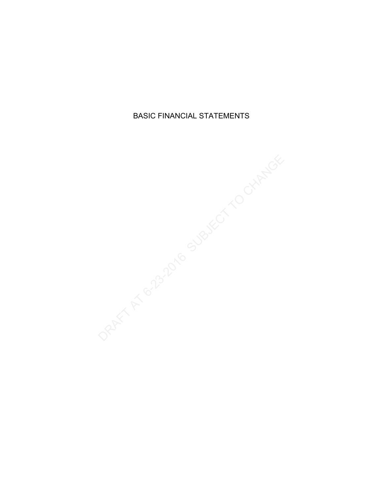BASIC FINANCIAL STATEMENTS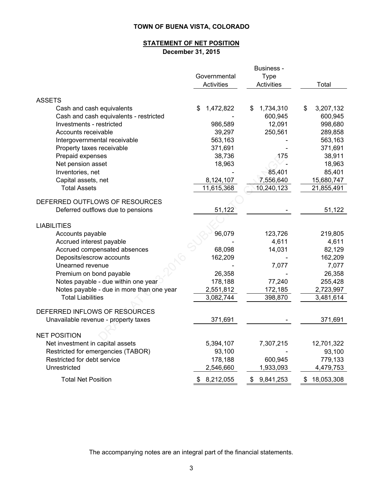### **STATEMENT OF NET POSITION December 31, 2015**

|                                           |                 | Business -      |                  |
|-------------------------------------------|-----------------|-----------------|------------------|
|                                           | Governmental    | <b>Type</b>     |                  |
|                                           | Activities      | Activities      | Total            |
| <b>ASSETS</b>                             |                 |                 |                  |
| Cash and cash equivalents                 | 1,472,822<br>\$ | 1,734,310<br>\$ | 3,207,132<br>\$  |
| Cash and cash equivalents - restricted    |                 | 600,945         | 600,945          |
| Investments - restricted                  | 986,589         | 12,091          | 998,680          |
| Accounts receivable                       | 39,297          | 250,561         | 289,858          |
| Intergovernmental receivable              | 563,163         |                 | 563,163          |
| Property taxes receivable                 | 371,691         |                 | 371,691          |
| Prepaid expenses                          | 38,736          | 175             | 38,911           |
| Net pension asset                         | 18,963          |                 | 18,963           |
| Inventories, net                          |                 | 85,401          | 85,401           |
| Capital assets, net                       | 8,124,107       | 7,556,640       | 15,680,747       |
| <b>Total Assets</b>                       | 11,615,368      | 10,240,123      | 21,855,491       |
| DEFERRED OUTFLOWS OF RESOURCES            |                 |                 |                  |
| Deferred outflows due to pensions         | 51,122          |                 | 51,122           |
|                                           |                 |                 |                  |
| <b>LIABILITIES</b>                        |                 |                 |                  |
| Accounts payable                          | 96,079          | 123,726         | 219,805          |
| Accrued interest payable                  |                 | 4,611           | 4,611            |
| Accrued compensated absences              | 68,098          | 14,031          | 82,129           |
| Deposits/escrow accounts                  | 162,209         |                 | 162,209          |
| Unearned revenue                          |                 | 7,077           | 7,077            |
| Premium on bond payable                   | 26,358          |                 | 26,358           |
| Notes payable - due within one year       | 178,188         | 77,240          | 255,428          |
| Notes payable - due in more than one year | 2,551,812       | 172,185         | 2,723,997        |
| <b>Total Liabilities</b>                  | 3,082,744       | 398,870         | 3,481,614        |
| DEFERRED INFLOWS OF RESOURCES             |                 |                 |                  |
|                                           |                 |                 |                  |
| Unavailable revenue - property taxes      | 371,691         |                 | 371,691          |
| <b>NET POSITION</b>                       |                 |                 |                  |
| Net investment in capital assets          | 5,394,107       | 7,307,215       | 12,701,322       |
| Restricted for emergencies (TABOR)        | 93,100          |                 | 93,100           |
| Restricted for debt service               | 178,188         | 600,945         | 779,133          |
| Unrestricted                              | 2,546,660       | 1,933,093       | 4,479,753        |
| <b>Total Net Position</b>                 | 8,212,055<br>\$ | 9,841,253<br>\$ | 18,053,308<br>\$ |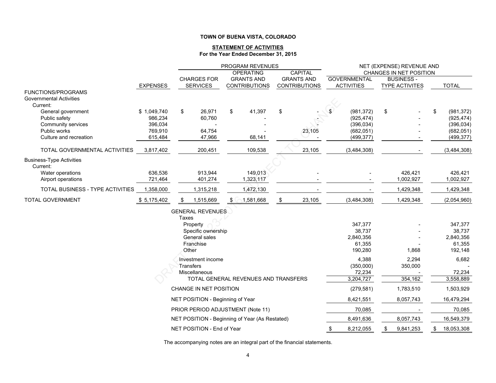#### **STATEMENT OF ACTIVITIES For the Year Ended December 31, 2015**

|                                             |                        | PROGRAM REVENUES                               |    |                      |    |                      |    | NET (EXPENSE) REVENUE AND |                         |           |                          |
|---------------------------------------------|------------------------|------------------------------------------------|----|----------------------|----|----------------------|----|---------------------------|-------------------------|-----------|--------------------------|
|                                             |                        |                                                |    | <b>OPERATING</b>     |    | CAPITAL              |    |                           | CHANGES IN NET POSITION |           |                          |
|                                             |                        | <b>CHARGES FOR</b>                             |    | <b>GRANTS AND</b>    |    | <b>GRANTS AND</b>    |    | <b>GOVERNMENTAL</b>       | <b>BUSINESS-</b>        |           |                          |
|                                             | <b>EXPENSES</b>        | <b>SERVICES</b>                                |    | <b>CONTRIBUTIONS</b> |    | <b>CONTRIBUTIONS</b> |    | <b>ACTIVITIES</b>         | <b>TYPE ACTIVITES</b>   |           | <b>TOTAL</b>             |
| <b>FUNCTIONS/PROGRAMS</b>                   |                        |                                                |    |                      |    |                      |    |                           |                         |           |                          |
| <b>Governmental Activities</b>              |                        |                                                |    |                      |    |                      |    |                           |                         |           |                          |
| Current:                                    |                        |                                                |    |                      |    |                      |    |                           |                         |           |                          |
| General government                          | \$1,049,740<br>986,234 | \$<br>26,971<br>60,760                         | \$ | 41,397               | \$ |                      | £. | (981, 372)                | \$                      |           | \$<br>(981, 372)         |
| Public safety<br>Community services         | 396,034                |                                                |    |                      |    |                      |    | (925, 474)<br>(396, 034)  |                         |           | (925, 474)<br>(396, 034) |
| Public works                                | 769,910                | 64,754                                         |    |                      |    | 23,105               |    | (682, 051)                |                         |           | (682, 051)               |
| Culture and recreation                      | 615,484                | 47,966                                         |    | 68,141               |    |                      |    | (499, 377)                |                         |           | (499, 377)               |
|                                             |                        |                                                |    |                      |    |                      |    |                           |                         |           |                          |
| TOTAL GOVERNMENTAL ACTIVITIES               | 3,817,402              | 200,451                                        |    | 109,538              |    | 23,105               |    | (3,484,308)               |                         |           | (3,484,308)              |
|                                             |                        |                                                |    |                      |    |                      |    |                           |                         |           |                          |
| <b>Business-Type Activities</b><br>Current: |                        |                                                |    |                      |    |                      |    |                           |                         |           |                          |
| Water operations                            | 636.536                | 913,944                                        |    | 149.013              |    |                      |    |                           |                         | 426.421   | 426.421                  |
| Airport operations                          | 721,464                | 401,274                                        |    | 1,323,117            |    |                      |    |                           |                         | 1,002,927 | 1,002,927                |
|                                             |                        |                                                |    |                      |    |                      |    |                           |                         |           |                          |
| TOTAL BUSINESS - TYPE ACTIVITIES            | 1,358,000              | 1,315,218                                      |    | 1,472,130            |    |                      |    |                           |                         | 1,429,348 | 1,429,348                |
| <b>TOTAL GOVERNMENT</b>                     | \$5,175,402            | 1,515,669                                      |    | 1,581,668            |    | 23,105               |    | (3,484,308)               |                         | 1,429,348 | (2,054,960)              |
|                                             |                        | <b>GENERAL REVENUES</b>                        |    |                      |    |                      |    |                           |                         |           |                          |
|                                             |                        | Taxes                                          |    |                      |    |                      |    |                           |                         |           |                          |
|                                             |                        | Property                                       |    |                      |    |                      |    | 347,377                   |                         |           | 347,377                  |
|                                             |                        | Specific ownership                             |    |                      |    |                      |    | 38,737                    |                         |           | 38,737                   |
|                                             |                        | General sales                                  |    |                      |    |                      |    | 2,840,356                 |                         |           | 2,840,356                |
|                                             |                        | Franchise                                      |    |                      |    |                      |    | 61,355                    |                         |           | 61,355                   |
|                                             |                        | Other                                          |    |                      |    |                      |    | 190,280                   |                         | 1,868     | 192,148                  |
|                                             |                        | Investment income                              |    |                      |    |                      |    | 4,388                     |                         | 2,294     | 6,682                    |
|                                             |                        | Transfers                                      |    |                      |    |                      |    | (350,000)                 |                         | 350,000   |                          |
|                                             |                        | Miscellaneous                                  |    |                      |    |                      |    | 72,234                    |                         |           | 72,234                   |
|                                             |                        | TOTAL GENERAL REVENUES AND TRANSFERS           |    |                      |    |                      |    | 3,204,727                 |                         | 354,162   | 3,558,889                |
|                                             |                        | CHANGE IN NET POSITION                         |    |                      |    |                      |    | (279, 581)                |                         | 1,783,510 | 1,503,929                |
|                                             |                        | NET POSITION - Beginning of Year               |    |                      |    |                      |    | 8,421,551                 |                         | 8,057,743 | 16,479,294               |
|                                             |                        | PRIOR PERIOD ADJUSTMENT (Note 11)              |    |                      |    |                      |    | 70,085                    |                         |           | 70,085                   |
|                                             |                        | NET POSITION - Beginning of Year (As Restated) |    |                      |    |                      |    | 8,491,636                 |                         | 8,057,743 | 16,549,379               |
|                                             |                        | NET POSITION - End of Year                     |    |                      |    |                      | \$ | 8,212,055                 | \$                      | 9,841,253 | \$<br>18,053,308         |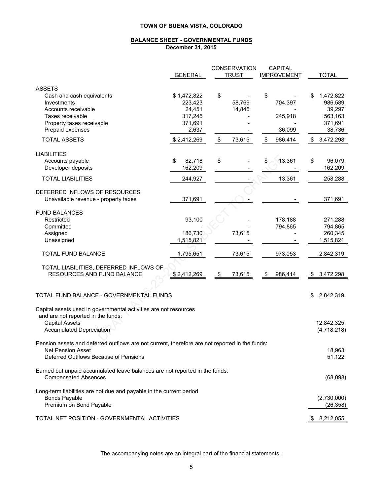#### **BALANCE SHEET - GOVERNMENTAL FUNDS**

**December 31, 2015**

|                                                                                                            |                | <b>CONSERVATION</b> | <b>CAPITAL</b>     |                 |
|------------------------------------------------------------------------------------------------------------|----------------|---------------------|--------------------|-----------------|
|                                                                                                            | <b>GENERAL</b> | <b>TRUST</b>        | <b>IMPROVEMENT</b> | <b>TOTAL</b>    |
|                                                                                                            |                |                     |                    |                 |
| <b>ASSETS</b>                                                                                              |                |                     |                    |                 |
| Cash and cash equivalents                                                                                  | \$1,472,822    | \$                  | \$                 | 1,472,822       |
| Investments                                                                                                | 223,423        | 58,769              | 704,397            | 986,589         |
| Accounts receivable                                                                                        | 24,451         | 14,846              |                    | 39,297          |
| Taxes receivable                                                                                           | 317,245        |                     | 245,918            | 563,163         |
| Property taxes receivable                                                                                  | 371,691        |                     |                    | 371,691         |
| Prepaid expenses                                                                                           | 2,637          |                     | 36,099             | 38,736          |
| <b>TOTAL ASSETS</b>                                                                                        | \$2,412,269    | \$<br>73,615        | \$<br>986,414      | \$<br>3,472,298 |
| <b>LIABILITIES</b>                                                                                         |                |                     |                    |                 |
| Accounts payable                                                                                           | \$<br>82,718   | \$                  | \$<br>13,361       | \$<br>96,079    |
| Developer deposits                                                                                         | 162,209        |                     |                    | 162,209         |
| <b>TOTAL LIABILITIES</b>                                                                                   | 244,927        |                     | 13,361             | 258,288         |
|                                                                                                            |                |                     |                    |                 |
| DEFERRED INFLOWS OF RESOURCES                                                                              |                |                     |                    |                 |
| Unavailable revenue - property taxes                                                                       | 371,691        |                     |                    | 371,691         |
|                                                                                                            |                |                     |                    |                 |
| <b>FUND BALANCES</b>                                                                                       |                |                     |                    |                 |
| Restricted                                                                                                 | 93,100         |                     | 178,188            | 271,288         |
| Committed                                                                                                  |                |                     | 794,865            | 794,865         |
| Assigned                                                                                                   | 186,730        | 73,615              |                    | 260,345         |
| Unassigned                                                                                                 | 1,515,821      |                     |                    | 1,515,821       |
| TOTAL FUND BALANCE                                                                                         | 1,795,651      | 73,615              | 973,053            | 2,842,319       |
| TOTAL LIABILITIES, DEFERRED INFLOWS OF                                                                     |                |                     |                    |                 |
| RESOURCES AND FUND BALANCE                                                                                 | \$2,412,269    | \$<br>73,615        | \$<br>986,414      | \$<br>3,472,298 |
|                                                                                                            |                |                     |                    |                 |
|                                                                                                            |                |                     |                    |                 |
| TOTAL FUND BALANCE - GOVERNMENTAL FUNDS                                                                    |                |                     |                    | \$<br>2,842,319 |
| Capital assets used in governmental activities are not resources                                           |                |                     |                    |                 |
| and are not reported in the funds:                                                                         |                |                     |                    |                 |
| <b>Capital Assets</b>                                                                                      |                |                     |                    | 12,842,325      |
| <b>Accumulated Depreciation</b>                                                                            |                |                     |                    | (4,718,218)     |
|                                                                                                            |                |                     |                    |                 |
| Pension assets and deferred outflows are not current, therefore are not reported in the funds:             |                |                     |                    |                 |
| <b>Net Pension Asset</b>                                                                                   |                |                     |                    | 18,963          |
| Deferred Outflows Because of Pensions                                                                      |                |                     |                    | 51,122          |
|                                                                                                            |                |                     |                    |                 |
| Earned but unpaid accumulated leave balances are not reported in the funds:<br><b>Compensated Absences</b> |                |                     |                    | (68,098)        |
|                                                                                                            |                |                     |                    |                 |
| Long-term liabilities are not due and payable in the current period                                        |                |                     |                    |                 |
| <b>Bonds Payable</b>                                                                                       |                |                     |                    | (2,730,000)     |
| Premium on Bond Payable                                                                                    |                |                     |                    | (26, 358)       |
|                                                                                                            |                |                     |                    |                 |
| TOTAL NET POSITION - GOVERNMENTAL ACTIVITIES                                                               |                |                     |                    | 8,212,055       |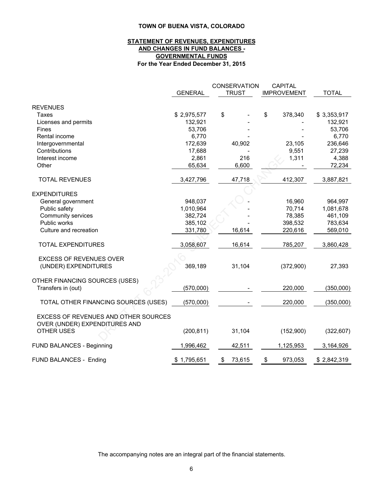#### **STATEMENT OF REVENUES, EXPENDITURES AND CHANGES IN FUND BALANCES - GOVERNMENTAL FUNDS For the Year Ended December 31, 2015**

|                                                                                            | <b>GENERAL</b> | <b>CONSERVATION</b><br><b>TRUST</b> | <b>CAPITAL</b><br><b>IMPROVEMENT</b> | <b>TOTAL</b> |
|--------------------------------------------------------------------------------------------|----------------|-------------------------------------|--------------------------------------|--------------|
| <b>REVENUES</b>                                                                            |                |                                     |                                      |              |
| <b>Taxes</b>                                                                               | \$2,975,577    | \$                                  | \$<br>378,340                        | \$3,353,917  |
| Licenses and permits                                                                       | 132,921        |                                     |                                      | 132,921      |
| Fines                                                                                      | 53,706         |                                     |                                      | 53,706       |
| Rental income                                                                              | 6,770          |                                     |                                      | 6,770        |
| Intergovernmental                                                                          | 172,639        | 40,902                              | 23,105                               | 236,646      |
| Contributions                                                                              | 17,688         |                                     | 9,551                                | 27,239       |
| Interest income                                                                            | 2,861          | 216                                 | 1,311                                | 4,388        |
| Other                                                                                      | 65,634         | 6,600                               |                                      | 72,234       |
| <b>TOTAL REVENUES</b>                                                                      | 3,427,796      | 47,718                              | 412,307                              | 3,887,821    |
| <b>EXPENDITURES</b>                                                                        |                |                                     |                                      |              |
| General government                                                                         | 948,037        |                                     | 16,960                               | 964,997      |
| Public safety                                                                              | 1,010,964      |                                     | 70,714                               | 1,081,678    |
| Community services                                                                         | 382,724        |                                     | 78,385                               | 461,109      |
| Public works                                                                               | 385,102        |                                     | 398,532                              | 783,634      |
| Culture and recreation                                                                     | 331,780        | 16,614                              | 220,616                              | 569,010      |
| <b>TOTAL EXPENDITURES</b>                                                                  | 3,058,607      | 16,614                              | 785,207                              | 3,860,428    |
| <b>EXCESS OF REVENUES OVER</b><br>(UNDER) EXPENDITURES                                     | 369,189        | 31,104                              | (372,900)                            | 27,393       |
| OTHER FINANCING SOURCES (USES)<br>Transfers in (out)                                       | (570,000)      |                                     | 220,000                              | (350,000)    |
| TOTAL OTHER FINANCING SOURCES (USES)                                                       | (570,000)      |                                     | 220,000                              | (350,000)    |
| EXCESS OF REVENUES AND OTHER SOURCES<br>OVER (UNDER) EXPENDITURES AND<br><b>OTHER USES</b> | (200, 811)     | 31,104                              | (152,900)                            | (322, 607)   |
| FUND BALANCES - Beginning                                                                  | 1,996,462      | 42,511                              | 1,125,953                            | 3,164,926    |
| FUND BALANCES - Ending                                                                     | \$1,795,651    | 73,615<br>\$                        | 973,053<br>\$                        | \$2,842,319  |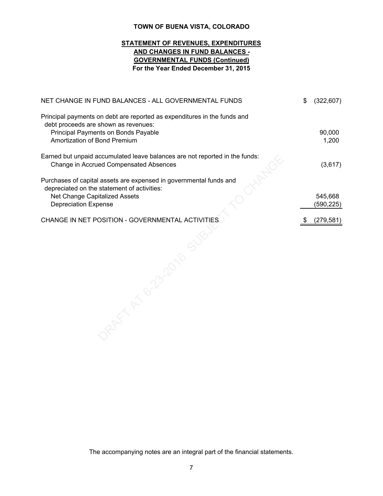### **STATEMENT OF REVENUES, EXPENDITURES AND CHANGES IN FUND BALANCES - GOVERNMENTAL FUNDS (Continued) For the Year Ended December 31, 2015**

| NET CHANGE IN FUND BALANCES - ALL GOVERNMENTAL FUNDS                                                                                                                                    | \$<br>(322, 607)     |
|-----------------------------------------------------------------------------------------------------------------------------------------------------------------------------------------|----------------------|
| Principal payments on debt are reported as expenditures in the funds and<br>debt proceeds are shown as revenues:<br>Principal Payments on Bonds Payable<br>Amortization of Bond Premium | 90,000<br>1,200      |
| Earned but unpaid accumulated leave balances are not reported in the funds:<br>Change in Accrued Compensated Absences                                                                   | (3,617)              |
| Purchases of capital assets are expensed in governmental funds and<br>depreciated on the statement of activities:<br>Net Change Capitalized Assets<br><b>Depreciation Expense</b>       | 545,668<br>(590,225) |
| CHANGE IN NET POSITION - GOVERNMENTAL ACTIVITIES                                                                                                                                        | \$<br>(279, 581)     |
|                                                                                                                                                                                         |                      |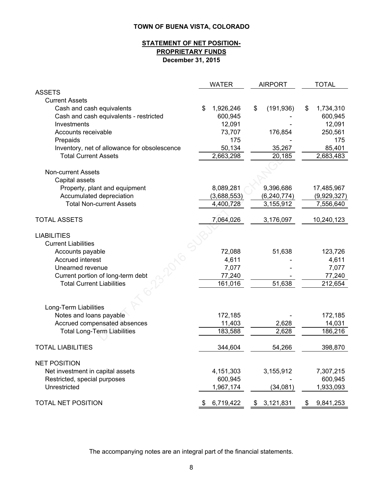### **December 31, 2015 STATEMENT OF NET POSITION-PROPRIETARY FUNDS**

|                                              | <b>WATER</b>    | <b>AIRPORT</b>   | <b>TOTAL</b>    |
|----------------------------------------------|-----------------|------------------|-----------------|
| <b>ASSETS</b>                                |                 |                  |                 |
| <b>Current Assets</b>                        |                 |                  |                 |
| Cash and cash equivalents                    | \$<br>1,926,246 | (191, 936)<br>\$ | 1,734,310<br>\$ |
| Cash and cash equivalents - restricted       | 600,945         |                  | 600,945         |
| Investments                                  | 12,091          |                  | 12,091          |
| Accounts receivable                          | 73,707          | 176,854          | 250,561         |
| Prepaids                                     | 175             |                  | 175             |
| Inventory, net of allowance for obsolescence | 50,134          | 35,267           | 85,401          |
| <b>Total Current Assets</b>                  | 2,663,298       | 20,185           | 2,683,483       |
|                                              |                 |                  |                 |
| <b>Non-current Assets</b>                    |                 |                  |                 |
| Capital assets                               |                 |                  |                 |
| Property, plant and equipment                | 8,089,281       | 9,396,686        | 17,485,967      |
| Accumulated depreciation                     | (3,688,553)     | (6, 240, 774)    | (9,929,327)     |
| <b>Total Non-current Assets</b>              | 4,400,728       | 3,155,912        | 7,556,640       |
| <b>TOTAL ASSETS</b>                          | 7,064,026       | 3,176,097        | 10,240,123      |
| <b>LIABILITIES</b>                           |                 |                  |                 |
| <b>Current Liabilities</b>                   |                 |                  |                 |
| Accounts payable                             | 72,088          | 51,638           | 123,726         |
| Accrued interest                             | 4,611           |                  | 4,611           |
| Unearned revenue                             | 7,077           |                  | 7,077           |
| Current portion of long-term debt            | 77,240          |                  | 77,240          |
| <b>Total Current Liabilities</b>             | 161,016         | 51,638           | 212,654         |
|                                              |                 |                  |                 |
|                                              |                 |                  |                 |
| Long-Term Liabilities                        |                 |                  |                 |
| Notes and loans payable                      | 172,185         |                  | 172,185         |
| Accrued compensated absences                 | 11,403          | 2,628            | 14,031          |
| <b>Total Long-Term Liabilities</b>           | 183,588         | 2,628            | 186,216         |
| <b>TOTAL LIABILITIES</b>                     | 344,604         | 54,266           | 398,870         |
| <b>NET POSITION</b>                          |                 |                  |                 |
| Net investment in capital assets             | 4,151,303       | 3,155,912        | 7,307,215       |
| Restricted, special purposes                 | 600,945         |                  | 600,945         |
| Unrestricted                                 | 1,967,174       | (34,081)         | 1,933,093       |
|                                              |                 |                  |                 |
| TOTAL NET POSITION                           | 6,719,422<br>\$ | \$3,121,831      | 9,841,253<br>\$ |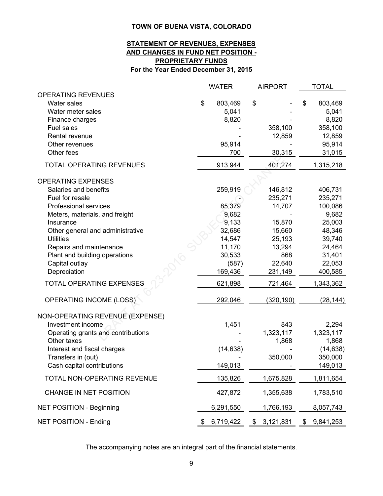### **For the Year Ended December 31, 2015 STATEMENT OF REVENUES, EXPENSES AND CHANGES IN FUND NET POSITION - PROPRIETARY FUNDS**

|                                    | <b>WATER</b>    | <b>AIRPORT</b>  | <b>TOTAL</b>    |
|------------------------------------|-----------------|-----------------|-----------------|
| <b>OPERATING REVENUES</b>          |                 |                 |                 |
| <b>Water sales</b>                 | \$<br>803,469   | \$              | \$<br>803,469   |
| Water meter sales                  | 5,041           |                 | 5,041           |
| Finance charges                    | 8,820           |                 | 8,820           |
| Fuel sales                         |                 | 358,100         | 358,100         |
| Rental revenue                     |                 | 12,859          | 12,859          |
| Other revenues                     | 95,914          |                 | 95,914          |
| Other fees                         | 700             | 30,315          | 31,015          |
| <b>TOTAL OPERATING REVENUES</b>    | 913,944         | 401,274         | 1,315,218       |
| <b>OPERATING EXPENSES</b>          |                 |                 |                 |
| Salaries and benefits              | 259,919         | 146,812         | 406,731         |
| Fuel for resale                    |                 | 235,271         | 235,271         |
| Professional services              | 85,379          | 14,707          | 100,086         |
| Meters, materials, and freight     | 9,682           |                 | 9,682           |
| Insurance                          | 9,133           | 15,870          | 25,003          |
| Other general and administrative   | 32,686          | 15,660          | 48,346          |
| <b>Utilities</b>                   | 14,547          | 25,193          | 39,740          |
| Repairs and maintenance            | 11,170          | 13,294          | 24,464          |
| Plant and building operations      | 30,533          | 868             | 31,401          |
| Capital outlay                     | (587)           | 22,640          | 22,053          |
| Depreciation                       | 169,436         | 231,149         | 400,585         |
| <b>TOTAL OPERATING EXPENSES</b>    | 621,898         | 721,464         | 1,343,362       |
| <b>OPERATING INCOME (LOSS)</b>     | 292,046         | (320, 190)      | (28, 144)       |
| NON-OPERATING REVENUE (EXPENSE)    |                 |                 |                 |
| Investment income                  | 1,451           | 843             | 2,294           |
| Operating grants and contributions |                 | 1,323,117       | 1,323,117       |
| Other taxes                        |                 | 1,868           | 1,868           |
| Interest and fiscal charges        | (14, 638)       |                 | (14, 638)       |
| Transfers in (out)                 |                 | 350,000         | 350,000         |
| Cash capital contributions         | 149,013         |                 | 149,013         |
| TOTAL NON-OPERATING REVENUE        | 135,826         | 1,675,828       | 1,811,654       |
| CHANGE IN NET POSITION             | 427,872         | 1,355,638       | 1,783,510       |
| <b>NET POSITION - Beginning</b>    | 6,291,550       | 1,766,193       | 8,057,743       |
| <b>NET POSITION - Ending</b>       | \$<br>6,719,422 | \$<br>3,121,831 | \$<br>9,841,253 |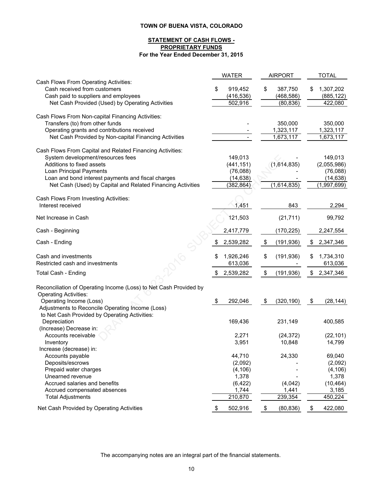#### **STATEMENT OF CASH FLOWS - PROPRIETARY FUNDS For the Year Ended December 31, 2015**

|                                                                   | <b>WATER</b>    | <b>AIRPORT</b>   |    | <b>TOTAL</b> |
|-------------------------------------------------------------------|-----------------|------------------|----|--------------|
| Cash Flows From Operating Activities:                             |                 |                  |    |              |
| Cash received from customers                                      | \$<br>919,452   | \$<br>387,750    | S  | 1,307,202    |
| Cash paid to suppliers and employees                              | (416, 536)      | (468, 586)       |    | (885, 122)   |
| Net Cash Provided (Used) by Operating Activities                  | 502,916         | (80, 836)        |    | 422,080      |
| Cash Flows From Non-capital Financing Activities:                 |                 |                  |    |              |
| Transfers (to) from other funds                                   |                 | 350,000          |    | 350,000      |
| Operating grants and contributions received                       |                 | 1,323,117        |    | 1,323,117    |
| Net Cash Provided by Non-capital Financing Activities             |                 | 1,673,117        |    | 1,673,117    |
|                                                                   |                 |                  |    |              |
| Cash Flows From Capital and Related Financing Activities:         |                 |                  |    |              |
| System development/resources fees                                 | 149,013         |                  |    | 149,013      |
| Additions to fixed assets                                         | (441, 151)      | (1,614,835)      |    | (2,055,986)  |
| Loan Principal Payments                                           | (76,088)        |                  |    | (76,088)     |
| Loan and bond interest payments and fiscal charges                | (14, 638)       |                  |    | (14, 638)    |
| Net Cash (Used) by Capital and Related Financing Activities       | (382, 864)      | (1,614,835)      |    | (1,997,699)  |
| Cash Flows From Investing Activities:                             |                 |                  |    |              |
| Interest received                                                 | 1,451           | 843              |    | 2,294        |
| Net Increase in Cash                                              | 121,503         | (21, 711)        |    | 99,792       |
| Cash - Beginning                                                  | 2,417,779       | (170, 225)       |    | 2,247,554    |
| Cash - Ending                                                     | \$<br>2,539,282 | \$<br>(191, 936) | \$ | 2,347,346    |
| Cash and investments                                              | 1,926,246       | \$<br>(191, 936) | \$ | 1,734,310    |
| Restricted cash and investments                                   | 613,036         |                  |    | 613,036      |
|                                                                   |                 |                  |    |              |
| Total Cash - Ending                                               | 2,539,282       | \$<br>(191, 936) | \$ | 2,347,346    |
| Reconciliation of Operating Income (Loss) to Net Cash Provided by |                 |                  |    |              |
| <b>Operating Activities:</b>                                      |                 |                  |    |              |
| Operating Income (Loss)                                           | 292,046         | \$<br>(320, 190) | \$ | (28, 144)    |
| Adjustments to Reconcile Operating Income (Loss)                  |                 |                  |    |              |
| to Net Cash Provided by Operating Activities:                     |                 |                  |    |              |
| Depreciation                                                      | 169,436         | 231,149          |    | 400,585      |
| (Increase) Decrease in:                                           |                 |                  |    |              |
| Accounts receivable                                               | 2,271           | (24, 372)        |    | (22, 101)    |
| Inventory                                                         | 3,951           | 10,848           |    | 14,799       |
| Increase (decrease) in:                                           |                 |                  |    |              |
| Accounts payable                                                  | 44,710          | 24,330           |    | 69,040       |
| Deposits/escrows                                                  | (2,092)         |                  |    | (2,092)      |
| Prepaid water charges                                             | (4, 106)        |                  |    | (4, 106)     |
| Unearned revenue                                                  | 1,378           |                  |    | 1,378        |
| Accrued salaries and benefits                                     | (6, 422)        | (4,042)          |    | (10, 464)    |
| Accrued compensated absences                                      | 1,744           | 1,441            |    | 3,185        |
| <b>Total Adjustments</b>                                          | 210,870         | 239,354          |    | 450,224      |
| Net Cash Provided by Operating Activities                         | \$<br>502,916   | \$<br>(80, 836)  | \$ | 422,080      |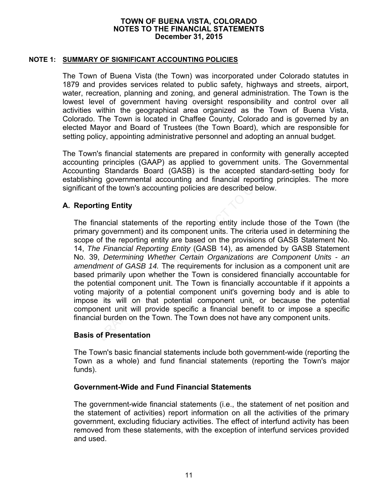### **NOTE 1: SUMMARY OF SIGNIFICANT ACCOUNTING POLICIES**

The Town of Buena Vista (the Town) was incorporated under Colorado statutes in 1879 and provides services related to public safety, highways and streets, airport, water, recreation, planning and zoning, and general administration. The Town is the lowest level of government having oversight responsibility and control over all activities within the geographical area organized as the Town of Buena Vista, Colorado. The Town is located in Chaffee County, Colorado and is governed by an elected Mayor and Board of Trustees (the Town Board), which are responsible for setting policy, appointing administrative personnel and adopting an annual budget.

The Town's financial statements are prepared in conformity with generally accepted accounting principles (GAAP) as applied to government units. The Governmental Accounting Standards Board (GASB) is the accepted standard-setting body for establishing governmental accounting and financial reporting principles. The more significant of the town's accounting policies are described below.

### **A. Reporting Entity**

The financial statements of the reporting entity include those of the Town (the primary government) and its component units. The criteria used in determining the scope of the reporting entity are based on the provisions of GASB Statement No. 14, *The Financial Reporting Entity* (GASB 14), as amended by GASB Statement No. 39, *Determining Whether Certain Organizations are Component Units - an amendment of GASB 14.* The requirements for inclusion as a component unit are based primarily upon whether the Town is considered financially accountable for the potential component unit. The Town is financially accountable if it appoints a voting majority of a potential component unit's governing body and is able to impose its will on that potential component unit, or because the potential component unit will provide specific a financial benefit to or impose a specific financial burden on the Town. The Town does not have any component units. S minicial statements are prepared in Contominy want<br>
principles (GAAP) as applied to government units<br>
grandards Board (GASB) is the accepted standar<br>
gray overnmental accounting and financial reporting prior<br>
of the town

### **Basis of Presentation**

The Town's basic financial statements include both government-wide (reporting the Town as a whole) and fund financial statements (reporting the Town's major funds).

### **Government-Wide and Fund Financial Statements**

The government-wide financial statements (i.e., the statement of net position and the statement of activities) report information on all the activities of the primary government, excluding fiduciary activities. The effect of interfund activity has been removed from these statements, with the exception of interfund services provided and used.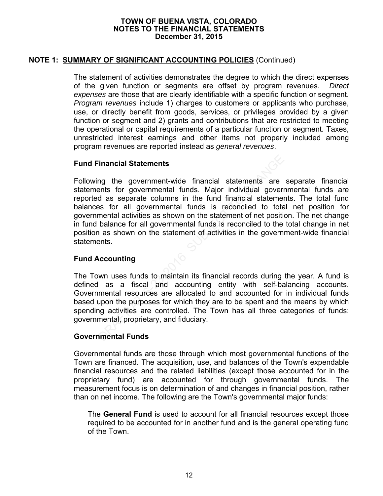# **NOTE 1: SUMMARY OF SIGNIFICANT ACCOUNTING POLICIES** (Continued)

The statement of activities demonstrates the degree to which the direct expenses of the given function or segments are offset by program revenues. *Direct expenses* are those that are clearly identifiable with a specific function or segment. *Program revenues* include 1) charges to customers or applicants who purchase, use, or directly benefit from goods, services, or privileges provided by a given function or segment and 2) grants and contributions that are restricted to meeting the operational or capital requirements of a particular function or segment. Taxes, unrestricted interest earnings and other items not properly included among program revenues are reported instead as *general revenues*.

### **Fund Financial Statements**

Following the government-wide financial statements are separate financial statements for governmental funds. Major individual governmental funds are reported as separate columns in the fund financial statements. The total fund balances for all governmental funds is reconciled to total net position for governmental activities as shown on the statement of net position. The net change in fund balance for all governmental funds is reconciled to the total change in net position as shown on the statement of activities in the government-wide financial statements. Francial Statements<br>
mg the government-wide financial statements are<br>
ents for governmental funds. Major individual govern<br>
d as separate columns in the fund financial statement<br>
es for all governmental funds is reconciled

# **Fund Accounting**

The Town uses funds to maintain its financial records during the year. A fund is defined as a fiscal and accounting entity with self-balancing accounts. Governmental resources are allocated to and accounted for in individual funds based upon the purposes for which they are to be spent and the means by which spending activities are controlled. The Town has all three categories of funds: governmental, proprietary, and fiduciary.

### **Governmental Funds**

Governmental funds are those through which most governmental functions of the Town are financed. The acquisition, use, and balances of the Town's expendable financial resources and the related liabilities (except those accounted for in the proprietary fund) are accounted for through governmental funds. The measurement focus is on determination of and changes in financial position, rather than on net income. The following are the Town's governmental major funds:

The **General Fund** is used to account for all financial resources except those required to be accounted for in another fund and is the general operating fund of the Town.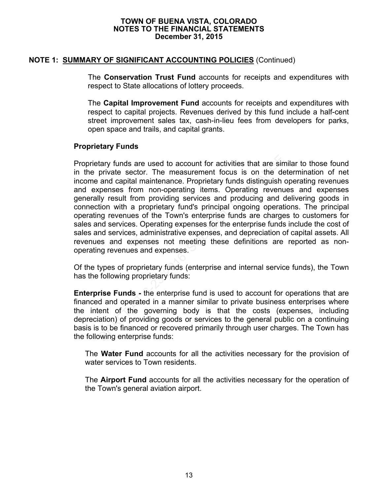### **NOTE 1: SUMMARY OF SIGNIFICANT ACCOUNTING POLICIES** (Continued)

The **Conservation Trust Fund** accounts for receipts and expenditures with respect to State allocations of lottery proceeds.

The **Capital Improvement Fund** accounts for receipts and expenditures with respect to capital projects. Revenues derived by this fund include a half-cent street improvement sales tax, cash-in-lieu fees from developers for parks, open space and trails, and capital grants.

### **Proprietary Funds**

Proprietary funds are used to account for activities that are similar to those found in the private sector. The measurement focus is on the determination of net income and capital maintenance. Proprietary funds distinguish operating revenues and expenses from non-operating items. Operating revenues and expenses generally result from providing services and producing and delivering goods in connection with a proprietary fund's principal ongoing operations. The principal operating revenues of the Town's enterprise funds are charges to customers for sales and services. Operating expenses for the enterprise funds include the cost of sales and services, administrative expenses, and depreciation of capital assets. All revenues and expenses not meeting these definitions are reported as nonoperating revenues and expenses. tary funds are used to account for activities that are sin<br>private sector. The measurement focus is on the de<br>and capital maintenance. Proprietary funds distinguish<br>spenses from non-operating items. Operating revenuly<br>resu

Of the types of proprietary funds (enterprise and internal service funds), the Town has the following proprietary funds:

**Enterprise Funds -** the enterprise fund is used to account for operations that are financed and operated in a manner similar to private business enterprises where the intent of the governing body is that the costs (expenses, including depreciation) of providing goods or services to the general public on a continuing basis is to be financed or recovered primarily through user charges. The Town has the following enterprise funds:

The **Water Fund** accounts for all the activities necessary for the provision of water services to Town residents.

The **Airport Fund** accounts for all the activities necessary for the operation of the Town's general aviation airport.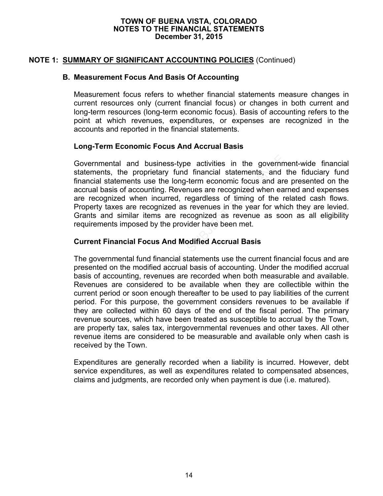# **NOTE 1: SUMMARY OF SIGNIFICANT ACCOUNTING POLICIES** (Continued)

### **B. Measurement Focus And Basis Of Accounting**

Measurement focus refers to whether financial statements measure changes in current resources only (current financial focus) or changes in both current and long-term resources (long-term economic focus). Basis of accounting refers to the point at which revenues, expenditures, or expenses are recognized in the accounts and reported in the financial statements.

### **Long-Term Economic Focus And Accrual Basis**

Governmental and business-type activities in the government-wide financial statements, the proprietary fund financial statements, and the fiduciary fund financial statements use the long-term economic focus and are presented on the accrual basis of accounting. Revenues are recognized when earned and expenses are recognized when incurred, regardless of timing of the related cash flows. Property taxes are recognized as revenues in the year for which they are levied. Grants and similar items are recognized as revenue as soon as all eligibility requirements imposed by the provider have been met.

### **Current Financial Focus And Modified Accrual Basis**

The governmental fund financial statements use the current financial focus and are presented on the modified accrual basis of accounting. Under the modified accrual basis of accounting, revenues are recorded when both measurable and available. Revenues are considered to be available when they are collectible within the current period or soon enough thereafter to be used to pay liabilities of the current period. For this purpose, the government considers revenues to be available if they are collected within 60 days of the end of the fiscal period. The primary revenue sources, which have been treated as susceptible to accrual by the Town, are property tax, sales tax, intergovernmental revenues and other taxes. All other revenue items are considered to be measurable and available only when cash is received by the Town. mental and business-type activities in the governments, the proprietary fund financial statements, and al statements use the long-term economic focus and ar basis of accounting. Revenues are recognized when eacognized when

Expenditures are generally recorded when a liability is incurred. However, debt service expenditures, as well as expenditures related to compensated absences, claims and judgments, are recorded only when payment is due (i.e. matured).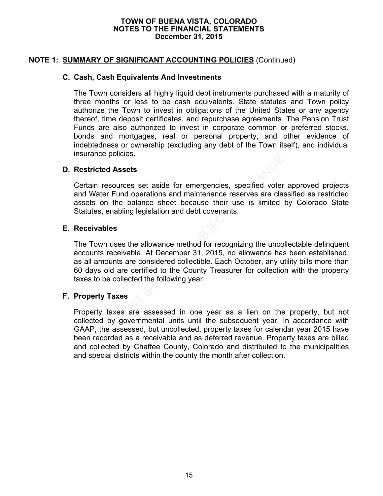## **NOTE 1: SUMMARY OF SIGNIFICANT ACCOUNTING POLICIES** (Continued)

### **C. Cash, Cash Equivalents And Investments**

The Town considers all highly liquid debt instruments purchased with a maturity of three months or less to be cash equivalents. State statutes and Town policy authorize the Town to invest in obligations of the United States or any agency thereof, time deposit certificates, and repurchase agreements. The Pension Trust Funds are also authorized to invest in corporate common or preferred stocks, bonds and mortgages, real or personal property, and other evidence of indebtedness or ownership (excluding any debt of the Town itself), and individual insurance policies.

### **D. Restricted Assets**

Certain resources set aside for emergencies, specified voter approved projects and Water Fund operations and maintenance reserves are classified as restricted assets on the balance sheet because their use is limited by Colorado State Statutes, enabling legislation and debt covenants.

### **E. Receivables**

The Town uses the allowance method for recognizing the uncollectable delinquent accounts receivable. At December 31, 2015, no allowance has been established, as all amounts are considered collectible. Each October, any utility bills more than 60 days old are certified to the County Treasurer for collection with the property taxes to be collected the following year. ted Assets<br>
resources set aside for emergencies, specified voter<br>
ter Fund operations and maintenance reserves are clas<br>
on the balance sheet because their use is limited<br>
s, enabling legislation and debt covenants.<br> **able** 

### **F. Property Taxes**

Property taxes are assessed in one year as a lien on the property, but not collected by governmental units until the subsequent year. In accordance with GAAP, the assessed, but uncollected, property taxes for calendar year 2015 have been recorded as a receivable and as deferred revenue. Property taxes are billed and collected by Chaffee County, Colorado and distributed to the municipalities and special districts within the county the month after collection.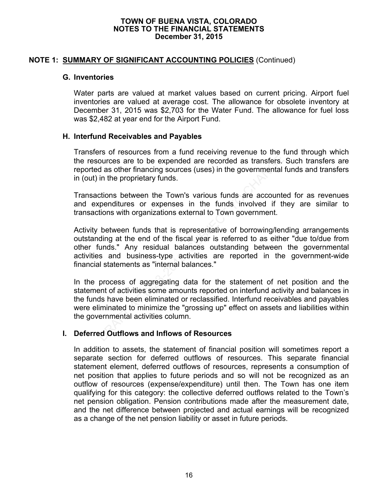### **NOTE 1: SUMMARY OF SIGNIFICANT ACCOUNTING POLICIES** (Continued)

### **G. Inventories**

Water parts are valued at market values based on current pricing. Airport fuel inventories are valued at average cost. The allowance for obsolete inventory at December 31, 2015 was \$2,703 for the Water Fund. The allowance for fuel loss was \$2,482 at year end for the Airport Fund.

### **H. Interfund Receivables and Payables**

Transfers of resources from a fund receiving revenue to the fund through which the resources are to be expended are recorded as transfers. Such transfers are reported as other financing sources (uses) in the governmental funds and transfers in (out) in the proprietary funds.

Transactions between the Town's various funds are accounted for as revenues and expenditures or expenses in the funds involved if they are similar to transactions with organizations external to Town government.

Activity between funds that is representative of borrowing/lending arrangements outstanding at the end of the fiscal year is referred to as either "due to/due from other funds." Any residual balances outstanding between the governmental activities and business-type activities are reported in the government-wide financial statements as "internal balances." From the expended are recorded as transfers.<br>
dources are to be expended are recorded as transfers.<br>
d as other financing sources (uses) in the governmental<br>
in the proprietary funds.<br>
ctions between the Town's various fun

In the process of aggregating data for the statement of net position and the statement of activities some amounts reported on interfund activity and balances in the funds have been eliminated or reclassified. Interfund receivables and payables were eliminated to minimize the "grossing up" effect on assets and liabilities within the governmental activities column.

### **I. Deferred Outflows and Inflows of Resources**

In addition to assets, the statement of financial position will sometimes report a separate section for deferred outflows of resources. This separate financial statement element, deferred outflows of resources, represents a consumption of net position that applies to future periods and so will not be recognized as an outflow of resources (expense/expenditure) until then. The Town has one item qualifying for this category: the collective deferred outflows related to the Town's net pension obligation. Pension contributions made after the measurement date, and the net difference between projected and actual earnings will be recognized as a change of the net pension liability or asset in future periods.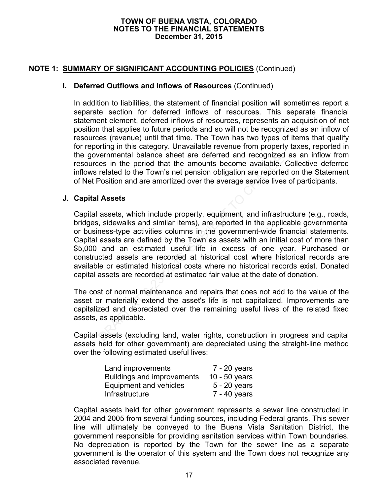# **NOTE 1: SUMMARY OF SIGNIFICANT ACCOUNTING POLICIES** (Continued)

### **I. Deferred Outflows and Inflows of Resources** (Continued)

In addition to liabilities, the statement of financial position will sometimes report a separate section for deferred inflows of resources. This separate financial statement element, deferred inflows of resources, represents an acquisition of net position that applies to future periods and so will not be recognized as an inflow of resources (revenue) until that time. The Town has two types of items that qualify for reporting in this category. Unavailable revenue from property taxes, reported in the governmental balance sheet are deferred and recognized as an inflow from resources in the period that the amounts become available. Collective deferred inflows related to the Town's net pension obligation are reported on the Statement of Net Position and are amortized over the average service lives of participants.

### **J. Capital Assets**

Capital assets, which include property, equipment, and infrastructure (e.g., roads, bridges, sidewalks and similar items), are reported in the applicable governmental or business-type activities columns in the government-wide financial statements. Capital assets are defined by the Town as assets with an initial cost of more than \$5,000 and an estimated useful life in excess of one year. Purchased or constructed assets are recorded at historical cost where historical records are available or estimated historical costs where no historical records exist. Donated capital assets are recorded at estimated fair value at the date of donation. reminental balance sheet are deterted and recognized<br>es in the period that the amounts become available.<br>related to the Town's net pension obligation are reporte<br>Position and are amortized over the average service lives<br>**A** 

The cost of normal maintenance and repairs that does not add to the value of the asset or materially extend the asset's life is not capitalized. Improvements are capitalized and depreciated over the remaining useful lives of the related fixed assets, as applicable.

Capital assets (excluding land, water rights, construction in progress and capital assets held for other government) are depreciated using the straight-line method over the following estimated useful lives:

| Land improvements                 | $7 - 20$ years  |
|-----------------------------------|-----------------|
| <b>Buildings and improvements</b> | 10 - $50$ years |
| Equipment and vehicles            | $5 - 20$ years  |
| Infrastructure                    | $7 - 40$ years  |

Capital assets held for other government represents a sewer line constructed in 2004 and 2005 from several funding sources, including Federal grants. This sewer line will ultimately be conveyed to the Buena Vista Sanitation District, the government responsible for providing sanitation services within Town boundaries. No depreciation is reported by the Town for the sewer line as a separate government is the operator of this system and the Town does not recognize any associated revenue.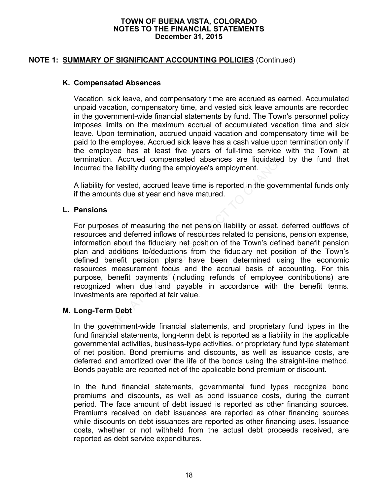# **NOTE 1: SUMMARY OF SIGNIFICANT ACCOUNTING POLICIES** (Continued)

### **K. Compensated Absences**

Vacation, sick leave, and compensatory time are accrued as earned. Accumulated unpaid vacation, compensatory time, and vested sick leave amounts are recorded in the government-wide financial statements by fund. The Town's personnel policy imposes limits on the maximum accrual of accumulated vacation time and sick leave. Upon termination, accrued unpaid vacation and compensatory time will be paid to the employee. Accrued sick leave has a cash value upon termination only if the employee has at least five years of full-time service with the Town at termination. Accrued compensated absences are liquidated by the fund that incurred the liability during the employee's employment.

A liability for vested, accrued leave time is reported in the governmental funds only if the amounts due at year end have matured.

### **L. Pensions**

For purposes of measuring the net pension liability or asset, deferred outflows of resources and deferred inflows of resources related to pensions, pension expense, information about the fiduciary net position of the Town's defined benefit pension plan and additions to/deductions from the fiduciary net position of the Town's defined benefit pension plans have been determined using the economic resources measurement focus and the accrual basis of accounting. For this purpose, benefit payments (including refunds of employee contributions) are recognized when due and payable in accordance with the benefit terms. Investments are reported at fair value. tion. Accrued compensated absences are liquidated<br>of the liability during the employee's employment.<br>ty for vested, accrued leave time is reported in the governounts due at year end have matured.<br>ns<br>poses of measuring the

### **M. Long-Term Debt**

In the government-wide financial statements, and proprietary fund types in the fund financial statements, long-term debt is reported as a liability in the applicable governmental activities, business-type activities, or proprietary fund type statement of net position. Bond premiums and discounts, as well as issuance costs, are deferred and amortized over the life of the bonds using the straight-line method. Bonds payable are reported net of the applicable bond premium or discount.

In the fund financial statements, governmental fund types recognize bond premiums and discounts, as well as bond issuance costs, during the current period. The face amount of debt issued is reported as other financing sources. Premiums received on debt issuances are reported as other financing sources while discounts on debt issuances are reported as other financing uses. Issuance costs, whether or not withheld from the actual debt proceeds received, are reported as debt service expenditures.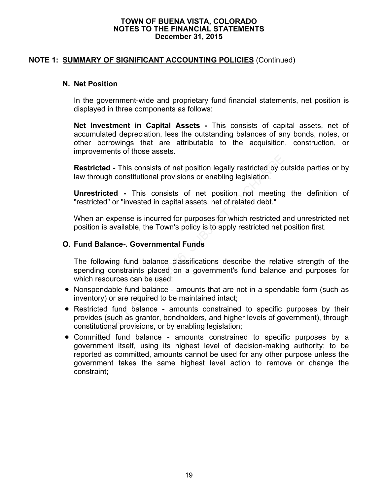# **NOTE 1: SUMMARY OF SIGNIFICANT ACCOUNTING POLICIES** (Continued)

### **N. Net Position**

In the government-wide and proprietary fund financial statements, net position is displayed in three components as follows:

**Net Investment in Capital Assets -** This consists of capital assets, net of accumulated depreciation, less the outstanding balances of any bonds, notes, or other borrowings that are attributable to the acquisition, construction, or improvements of those assets.

**Restricted -** This consists of net position legally restricted by outside parties or by law through constitutional provisions or enabling legislation.

**Unrestricted -** This consists of net position not meeting the definition of "restricted" or "invested in capital assets, net of related debt."

When an expense is incurred for purposes for which restricted and unrestricted net position is available, the Town's policy is to apply restricted net position first.

### **O. Fund Balance-. Governmental Funds**

The following fund balance classifications describe the relative strength of the spending constraints placed on a government's fund balance and purposes for which resources can be used:

- Nonspendable fund balance amounts that are not in a spendable form (such as inventory) or are required to be maintained intact;
- Restricted fund balance amounts constrained to specific purposes by their provides (such as grantor, bondholders, and higher levels of government), through constitutional provisions, or by enabling legislation; **Communisty and Subset Subset Subset Subset Subset State of the Subset State of the Subset State of entired an<br>
Ficted - This consists of net position not meeting<br>
ricted - This consists of net position not meeting<br>
ricted**
- Committed fund balance amounts constrained to specific purposes by a government itself, using its highest level of decision-making authority; to be reported as committed, amounts cannot be used for any other purpose unless the government takes the same highest level action to remove or change the constraint;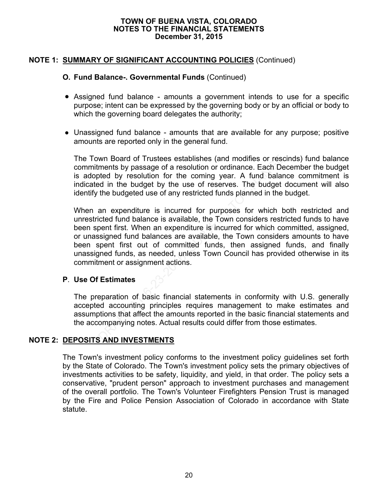# **NOTE 1: SUMMARY OF SIGNIFICANT ACCOUNTING POLICIES** (Continued)

### **O. Fund Balance-. Governmental Funds** (Continued)

- Assigned fund balance amounts a government intends to use for a specific purpose; intent can be expressed by the governing body or by an official or body to which the governing board delegates the authority;
- Unassigned fund balance amounts that are available for any purpose; positive amounts are reported only in the general fund.

The Town Board of Trustees establishes (and modifies or rescinds) fund balance commitments by passage of a resolution or ordinance. Each December the budget is adopted by resolution for the coming year. A fund balance commitment is indicated in the budget by the use of reserves. The budget document will also identify the budgeted use of any restricted funds planned in the budget.

When an expenditure is incurred for purposes for which both restricted and unrestricted fund balance is available, the Town considers restricted funds to have been spent first. When an expenditure is incurred for which committed, assigned, or unassigned fund balances are available, the Town considers amounts to have been spent first out of committed funds, then assigned funds, and finally unassigned funds, as needed, unless Town Council has provided otherwise in its commitment or assignment actions. wn Board of Trustees establishes (and modifies or resolution of comments by passage of a resolution or ordinance. Each De<br>bted by resolution for the coming year. A fund balar<br>d in the budget by the use of reserves. The bud

### **P**. **Use Of Estimates**

The preparation of basic financial statements in conformity with U.S. generally accepted accounting principles requires management to make estimates and assumptions that affect the amounts reported in the basic financial statements and the accompanying notes. Actual results could differ from those estimates.

### **NOTE 2: DEPOSITS AND INVESTMENTS**

The Town's investment policy conforms to the investment policy guidelines set forth by the State of Colorado. The Town's investment policy sets the primary objectives of investments activities to be safety, liquidity, and yield, in that order. The policy sets a conservative, "prudent person" approach to investment purchases and management of the overall portfolio. The Town's Volunteer Firefighters Pension Trust is managed by the Fire and Police Pension Association of Colorado in accordance with State statute.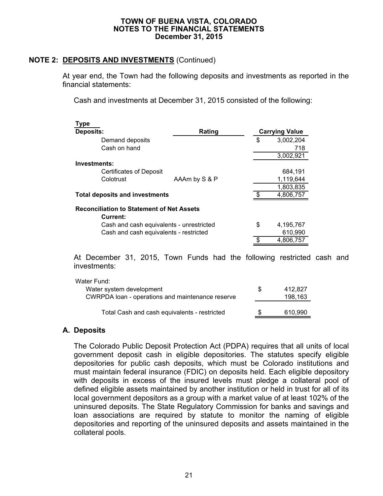# **NOTE 2: DEPOSITS AND INVESTMENTS** (Continued)

At year end, the Town had the following deposits and investments as reported in the financial statements:

Cash and investments at December 31, 2015 consisted of the following:

| Type                                                         |               |     |                       |  |  |  |
|--------------------------------------------------------------|---------------|-----|-----------------------|--|--|--|
| <b>Deposits:</b>                                             | Rating        |     | <b>Carrying Value</b> |  |  |  |
| Demand deposits                                              |               | \$  | 3,002,204             |  |  |  |
| Cash on hand                                                 |               |     | 718                   |  |  |  |
|                                                              |               |     | 3,002,921             |  |  |  |
| Investments:                                                 |               |     |                       |  |  |  |
| <b>Certificates of Deposit</b>                               |               |     | 684,191               |  |  |  |
| Colotrust                                                    | AAAm by S & P |     | 1,119,644             |  |  |  |
|                                                              |               |     | 1,803,835             |  |  |  |
| <b>Total deposits and investments</b>                        |               | \$. | 4,806,757             |  |  |  |
| <b>Reconciliation to Statement of Net Assets</b><br>Current: |               |     |                       |  |  |  |
| Cash and cash equivalents - unrestricted                     |               | \$  | 4,195,767             |  |  |  |
| Cash and cash equivalents - restricted                       |               |     | 610,990               |  |  |  |
|                                                              |               | ደ   | 4,806,757             |  |  |  |
|                                                              |               |     |                       |  |  |  |

At December 31, 2015, Town Funds had the following restricted cash and investments:

| Water Fund:                                      |         |
|--------------------------------------------------|---------|
| Water system development                         | 412.827 |
| CWRPDA loan - operations and maintenance reserve | 198,163 |
|                                                  |         |
| Total Cash and cash equivalents - restricted     | 610.990 |

### **A. Deposits**

The Colorado Public Deposit Protection Act (PDPA) requires that all units of local government deposit cash in eligible depositories. The statutes specify eligible depositories for public cash deposits, which must be Colorado institutions and must maintain federal insurance (FDIC) on deposits held. Each eligible depository with deposits in excess of the insured levels must pledge a collateral pool of defined eligible assets maintained by another institution or held in trust for all of its local government depositors as a group with a market value of at least 102% of the uninsured deposits. The State Regulatory Commission for banks and savings and loan associations are required by statute to monitor the naming of eligible depositories and reporting of the uninsured deposits and assets maintained in the collateral pools.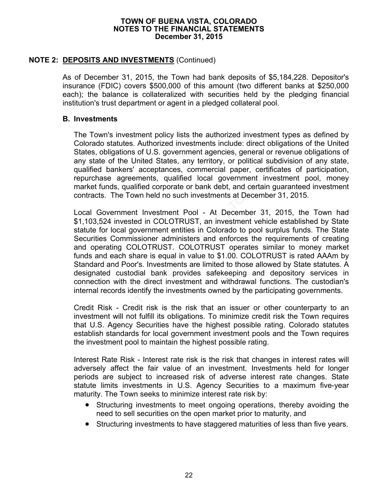## **NOTE 2: DEPOSITS AND INVESTMENTS** (Continued)

As of December 31, 2015, the Town had bank deposits of \$5,184,228. Depositor's insurance (FDIC) covers \$500,000 of this amount (two different banks at \$250,000 each); the balance is collateralized with securities held by the pledging financial institution's trust department or agent in a pledged collateral pool.

### **B. Investments**

The Town's investment policy lists the authorized investment types as defined by Colorado statutes. Authorized investments include: direct obligations of the United States, obligations of U.S. government agencies, general or revenue obligations of any state of the United States, any territory, or political subdivision of any state, qualified bankers' acceptances, commercial paper, certificates of participation, repurchase agreements, qualified local government investment pool, money market funds, qualified corporate or bank debt, and certain guaranteed investment contracts. The Town held no such investments at December 31, 2015.

Local Government Investment Pool - At December 31, 2015, the Town had \$1,103,524 invested in COLOTRUST, an investment vehicle established by State statute for local government entities in Colorado to pool surplus funds. The State Securities Commissioner administers and enforces the requirements of creating and operating COLOTRUST. COLOTRUST operates similar to money market funds and each share is equal in value to \$1.00. COLOTRUST is rated AAAm by Standard and Poor's. Investments are limited to those allowed by State statutes. A designated custodial bank provides safekeeping and depository services in connection with the direct investment and withdrawal functions. The custodian's internal records identify the investments owned by the participating governments. the of the United States, any territory, or political subdiverties of the United States, any territory, or political subdivertications are agreements, qualified local government investre funds, qualified corporate or bank

Credit Risk - Credit risk is the risk that an issuer or other counterparty to an investment will not fulfill its obligations. To minimize credit risk the Town requires that U.S. Agency Securities have the highest possible rating. Colorado statutes establish standards for local government investment pools and the Town requires the investment pool to maintain the highest possible rating.

Interest Rate Risk - Interest rate risk is the risk that changes in interest rates will adversely affect the fair value of an investment. Investments held for longer periods are subject to increased risk of adverse interest rate changes. State statute limits investments in U.S. Agency Securities to a maximum five-year maturity. The Town seeks to minimize interest rate risk by:

- Structuring investments to meet ongoing operations, thereby avoiding the need to sell securities on the open market prior to maturity, and
- Structuring investments to have staggered maturities of less than five years.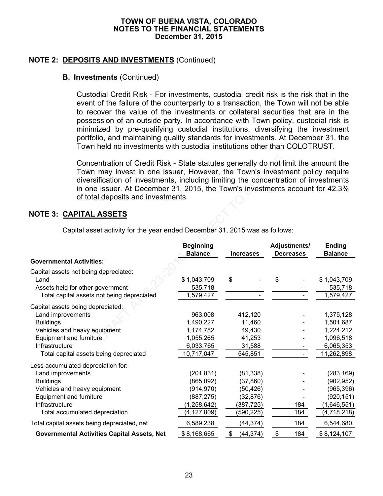# **NOTE 2: DEPOSITS AND INVESTMENTS** (Continued)

### **B. Investments** (Continued)

Custodial Credit Risk - For investments, custodial credit risk is the risk that in the event of the failure of the counterparty to a transaction, the Town will not be able to recover the value of the investments or collateral securities that are in the possession of an outside party. In accordance with Town policy, custodial risk is minimized by pre-qualifying custodial institutions, diversifying the investment portfolio, and maintaining quality standards for investments. At December 31, the Town held no investments with custodial institutions other than COLOTRUST.

# **NOTE 3: CAPITAL ASSETS**

| Concentration of Credit Risk - State statutes generally do not limit the amount the<br>Town may invest in one issuer, However, the Town's investment policy require<br>diversification of investments, including limiting the concentration of investments<br>in one issuer. At December 31, 2015, the Town's investments account for 42.3%<br>of total deposits and investments. |                                                                                       |                                                                              |                                  |                                                                                    |
|-----------------------------------------------------------------------------------------------------------------------------------------------------------------------------------------------------------------------------------------------------------------------------------------------------------------------------------------------------------------------------------|---------------------------------------------------------------------------------------|------------------------------------------------------------------------------|----------------------------------|------------------------------------------------------------------------------------|
| NOTE 3: <u>CAPITAL ASSETS</u>                                                                                                                                                                                                                                                                                                                                                     |                                                                                       |                                                                              |                                  |                                                                                    |
| Capital asset activity for the year ended December 31, 2015 was as follows:                                                                                                                                                                                                                                                                                                       |                                                                                       |                                                                              |                                  |                                                                                    |
|                                                                                                                                                                                                                                                                                                                                                                                   | <b>Beginning</b><br><b>Balance</b>                                                    | <b>Increases</b>                                                             | Adjustments/<br><b>Decreases</b> | Ending<br><b>Balance</b>                                                           |
| <b>Governmental Activities:</b>                                                                                                                                                                                                                                                                                                                                                   |                                                                                       |                                                                              |                                  |                                                                                    |
| Capital assets not being depreciated:<br>Land<br>Assets held for other government<br>Total capital assets not being depreciated                                                                                                                                                                                                                                                   | \$1,043,709<br>535,718<br>1,579,427                                                   | \$                                                                           | \$                               | \$1,043,709<br>535,718<br>1,579,427                                                |
| Capital assets being depreciated:<br>Land improvements<br><b>Buildings</b><br>Vehicles and heavy equipment<br>Equipment and furniture<br>Infrastructure<br>Total capital assets being depreciated                                                                                                                                                                                 | 963,008<br>1,490,227<br>1,174,782<br>1,055,265<br>6,033,765<br>10,717,047             | 412,120<br>11,460<br>49,430<br>41,253<br>31,588<br>545,851                   |                                  | 1,375,128<br>1,501,687<br>1,224,212<br>1,096,518<br>6,065,353<br>11,262,898        |
| Less accumulated depreciation for:<br>Land improvements<br><b>Buildings</b><br>Vehicles and heavy equipment<br>Equipment and furniture<br>Infrastructure<br>Total accumulated depreciation                                                                                                                                                                                        | (201, 831)<br>(865,092)<br>(914, 970)<br>(887, 275)<br>(1, 258, 642)<br>(4, 127, 809) | (81, 338)<br>(37, 860)<br>(50, 426)<br>(32, 876)<br>(387, 725)<br>(590, 225) | 184<br>184                       | (283, 169)<br>(902, 952)<br>(965, 396)<br>(920, 151)<br>(1,646,551)<br>(4,718,218) |
| Total capital assets being depreciated, net                                                                                                                                                                                                                                                                                                                                       | 6,589,238                                                                             | (44, 374)                                                                    | 184                              | 6,544,680                                                                          |
| <b>Governmental Activities Capital Assets, Net</b>                                                                                                                                                                                                                                                                                                                                | \$8,168,665                                                                           | (44, 374)<br>\$                                                              | \$<br>184                        | \$8,124,107                                                                        |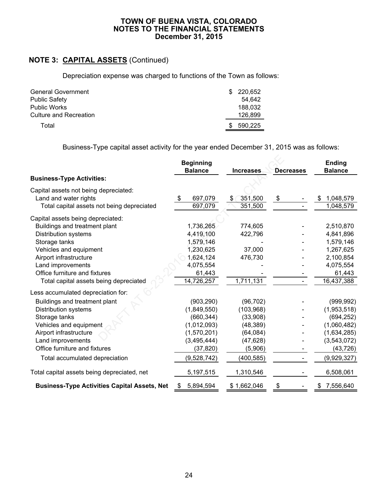# **NOTE 3: CAPITAL ASSETS** (Continued)

Depreciation expense was charged to functions of the Town as follows:

| <b>General Government</b> | SS. | 220.652 |
|---------------------------|-----|---------|
| <b>Public Safety</b>      |     | 54.642  |
| <b>Public Works</b>       |     | 188.032 |
| Culture and Recreation    |     | 126.899 |
| Total                     |     | 590.225 |

Business-Type capital asset activity for the year ended December 31, 2015 was as follows:

|                                                     | <b>Beginning</b><br><b>Balance</b>   | <b>Increases</b> | <b>Decreases</b> | Ending<br><b>Balance</b> |  |
|-----------------------------------------------------|--------------------------------------|------------------|------------------|--------------------------|--|
| <b>Business-Type Activities:</b>                    |                                      |                  |                  |                          |  |
| Capital assets not being depreciated:               |                                      |                  |                  |                          |  |
| Land and water rights                               | $\boldsymbol{\mathsf{S}}$<br>697,079 | 351,500<br>\$    | \$               | 1,048,579<br>\$          |  |
| Total capital assets not being depreciated          | 697,079                              | 351,500          |                  | 1,048,579                |  |
| Capital assets being depreciated:                   |                                      |                  |                  |                          |  |
| Buildings and treatment plant                       | 1,736,265                            | 774,605          |                  | 2,510,870                |  |
| <b>Distribution systems</b>                         | 4,419,100                            | 422,796          |                  | 4,841,896                |  |
| Storage tanks                                       | 1,579,146                            |                  |                  | 1,579,146                |  |
| Vehicles and equipment                              | 1,230,625                            | 37,000           |                  | 1,267,625                |  |
| Airport infrastructure                              | 1,624,124                            | 476,730          |                  | 2,100,854                |  |
| Land improvements                                   | 4,075,554                            |                  |                  | 4,075,554                |  |
| Office furniture and fixtures                       | 61,443                               |                  |                  | 61,443                   |  |
| Total capital assets being depreciated              | 14,726,257                           | 1,711,131        |                  | 16,437,388               |  |
| Less accumulated depreciation for:                  |                                      |                  |                  |                          |  |
| Buildings and treatment plant                       | (903, 290)                           | (96, 702)        |                  | (999, 992)               |  |
| <b>Distribution systems</b>                         | (1,849,550)                          | (103, 968)       |                  | (1,953,518)              |  |
| Storage tanks                                       | (660, 344)                           | (33,908)         |                  | (694, 252)               |  |
| Vehicles and equipment                              | (1,012,093)                          | (48, 389)        |                  | (1,060,482)              |  |
| Airport infrastructure                              | (1,570,201)                          | (64, 084)        |                  | (1,634,285)              |  |
| Land improvements                                   | (3,495,444)                          | (47, 628)        |                  | (3,543,072)              |  |
| Office furniture and fixtures                       | (37, 820)                            | (5,906)          |                  | (43, 726)                |  |
| Total accumulated depreciation                      | (9,528,742)                          | (400, 585)       |                  | (9,929,327)              |  |
| Total capital assets being depreciated, net         | 5,197,515                            | 1,310,546        |                  | 6,508,061                |  |
| <b>Business-Type Activities Capital Assets, Net</b> | 5,894,594<br>\$                      | \$1,662,046      | \$               | 7,556,640<br>S.          |  |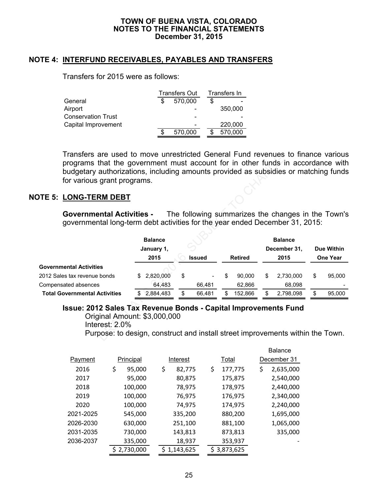### **NOTE 4: INTERFUND RECEIVABLES, PAYABLES AND TRANSFERS**

Transfers for 2015 were as follows:

|                           | <b>Transfers Out</b> |    | Transfers In |
|---------------------------|----------------------|----|--------------|
| General                   | 570,000              | \$ |              |
| Airport                   |                      |    | 350,000      |
| <b>Conservation Trust</b> |                      |    |              |
| Capital Improvement       |                      |    | 220,000      |
|                           | 570,000              |    | 570,000      |

Transfers are used to move unrestricted General Fund revenues to finance various programs that the government must account for in other funds in accordance with budgetary authorizations, including amounts provided as subsidies or matching funds for various grant programs.

### **NOTE 5: LONG-TERM DEBT**

| TIAIISIEIS ALE USEU IU HIUVE UHLESITICIEU OEHEIAL FUHU TEVEHUES IU IIIIAHCE VAHUUS<br>programs that the government must account for in other funds in accordance with<br>budgetary authorizations, including amounts provided as subsidies or matching funds<br>for various grant programs. |                |               |                |     |                                                    |                   |        |
|---------------------------------------------------------------------------------------------------------------------------------------------------------------------------------------------------------------------------------------------------------------------------------------------|----------------|---------------|----------------|-----|----------------------------------------------------|-------------------|--------|
| TE 5: LONG-TERM DEBT                                                                                                                                                                                                                                                                        |                |               |                |     |                                                    |                   |        |
| <b>Governmental Activities -</b><br>governmental long-term debt activities for the year ended December 31, 2015:                                                                                                                                                                            |                |               |                |     | The following summarizes the changes in the Town's |                   |        |
|                                                                                                                                                                                                                                                                                             | <b>Balance</b> |               |                |     | <b>Balance</b>                                     |                   |        |
|                                                                                                                                                                                                                                                                                             | January 1,     |               |                |     | December 31,                                       | <b>Due Within</b> |        |
|                                                                                                                                                                                                                                                                                             | 2015           | <b>Issued</b> | <b>Retired</b> |     | 2015                                               | One Year          |        |
| <b>Governmental Activities</b>                                                                                                                                                                                                                                                              |                |               |                |     |                                                    |                   |        |
| 2012 Sales tax revenue bonds                                                                                                                                                                                                                                                                | 2,820,000      | \$            | 90,000         | \$. | 2,730,000                                          | \$                | 95,000 |
| Compensated absences                                                                                                                                                                                                                                                                        | 64,483         | 66,481        | 62,866         |     | 68,098                                             |                   |        |
| <b>Total Governmental Activities</b>                                                                                                                                                                                                                                                        | 2,884,483      | \$<br>66,481  | \$<br>152,866  | \$  | 2,798,098                                          | \$                | 95,000 |
| <b>Issue: 2012 Sales Tax Revenue Bonds - Capital Improvements Fund</b><br>Original Amount: \$3,000,000<br>Interest: $2.0\%$<br>Purpose: to design, construct and install street improvements within the Town.                                                                               |                |               |                |     |                                                    |                   |        |

### **Issue: 2012 Sales Tax Revenue Bonds - Capital Improvements Fund**

Balance

|           |              |                 |                 | <b>DaidHuc</b>  |
|-----------|--------------|-----------------|-----------------|-----------------|
| Payment   | Principal    | Interest        | Total           | December 31     |
| 2016      | \$<br>95,000 | \$<br>82,775    | \$<br>177,775   | \$<br>2,635,000 |
| 2017      | 95,000       | 80,875          | 175,875         | 2,540,000       |
| 2018      | 100,000      | 78,975          | 178,975         | 2,440,000       |
| 2019      | 100,000      | 76,975          | 176,975         | 2,340,000       |
| 2020      | 100,000      | 74,975          | 174,975         | 2,240,000       |
| 2021-2025 | 545,000      | 335,200         | 880,200         | 1,695,000       |
| 2026-2030 | 630,000      | 251,100         | 881,100         | 1,065,000       |
| 2031-2035 | 730,000      | 143,813         | 873,813         | 335,000         |
| 2036-2037 | 335,000      | 18,937          | 353,937         |                 |
|           | \$2,730,000  | 1,143,625<br>S. | 3,873,625<br>S. |                 |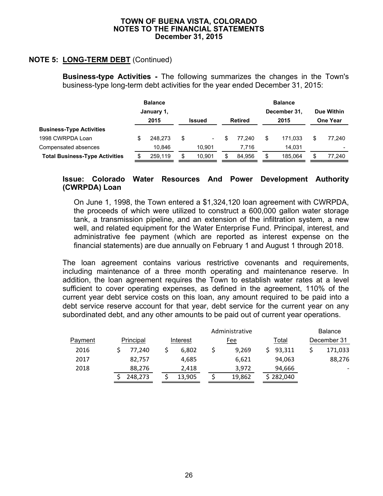# **NOTE 5: LONG-TERM DEBT** (Continued)

**Business-type Activities -** The following summarizes the changes in the Town's business-type long-term debt activities for the year ended December 31, 2015:

|                                       | <b>Balance</b> |                                                |     | <b>Balance</b><br>December 31, |   |                 |    | Due Within |  |        |
|---------------------------------------|----------------|------------------------------------------------|-----|--------------------------------|---|-----------------|----|------------|--|--------|
|                                       |                | January 1,<br>2015<br><b>Retired</b><br>Issued |     | 2015                           |   | <b>One Year</b> |    |            |  |        |
| <b>Business-Type Activities</b>       |                |                                                |     |                                |   |                 |    |            |  |        |
| 1998 CWRPDA Loan                      | \$             | 248.273                                        | \$. |                                | S | 77.240          | \$ | 171.033    |  | 77.240 |
| Compensated absences                  |                | 10.846                                         |     | 10.901                         |   | 7.716           |    | 14.031     |  |        |
| <b>Total Business-Type Activities</b> |                | 259.119                                        |     | 10.901                         |   | 84.956          |    | 185.064    |  | 77.240 |

### **Issue: Colorado Water Resources And Power Development Authority (CWRPDA) Loan**

On June 1, 1998, the Town entered a \$1,324,120 loan agreement with CWRPDA, the proceeds of which were utilized to construct a 600,000 gallon water storage tank, a transmission pipeline, and an extension of the infiltration system, a new well, and related equipment for the Water Enterprise Fund. Principal, interest, and administrative fee payment (which are reported as interest expense on the financial statements) are due annually on February 1 and August 1 through 2018.

The loan agreement contains various restrictive covenants and requirements, including maintenance of a three month operating and maintenance reserve. In addition, the loan agreement requires the Town to establish water rates at a level sufficient to cover operating expenses, as defined in the agreement, 110% of the current year debt service costs on this loan, any amount required to be paid into a debt service reserve account for that year, debt service for the current year on any subordinated debt, and any other amounts to be paid out of current year operations.

|                |           |          | <b>Balance</b> |              |             |
|----------------|-----------|----------|----------------|--------------|-------------|
| <b>Payment</b> | Principal | Interest | Fee            | <u>Total</u> | December 31 |
| 2016           | 77.240    | 6,802    | 9.269          | 93,311       | 171,033     |
| 2017           | 82,757    | 4,685    | 6,621          | 94,063       | 88,276      |
| 2018           | 88,276    | 2,418    | 3,972          | 94,666       |             |
|                | 248,273   | 13,905   | 19,862         | 282,040      |             |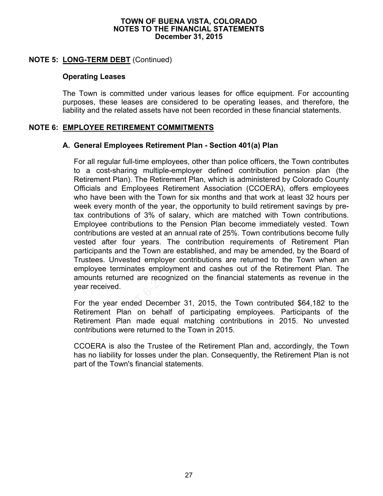### **NOTE 5: LONG-TERM DEBT** (Continued)

## **Operating Leases**

The Town is committed under various leases for office equipment. For accounting purposes, these leases are considered to be operating leases, and therefore, the liability and the related assets have not been recorded in these financial statements.

### **NOTE 6: EMPLOYEE RETIREMENT COMMITMENTS**

### **A. General Employees Retirement Plan - Section 401(a) Plan**

For all regular full-time employees, other than police officers, the Town contributes to a cost-sharing multiple-employer defined contribution pension plan (the Retirement Plan). The Retirement Plan, which is administered by Colorado County Officials and Employees Retirement Association (CCOERA), offers employees who have been with the Town for six months and that work at least 32 hours per week every month of the year, the opportunity to build retirement savings by pretax contributions of 3% of salary, which are matched with Town contributions. Employee contributions to the Pension Plan become immediately vested. Town contributions are vested at an annual rate of 25%. Town contributions become fully vested after four years. The contribution requirements of Retirement Plan participants and the Town are established, and may be amended, by the Board of Trustees. Unvested employer contributions are returned to the Town when an employee terminates employment and cashes out of the Retirement Plan. The amounts returned are recognized on the financial statements as revenue in the year received. regular full-time employees, other than police officers, the cost-sharing multiple-employer defined contribution pent Plan). The Retirement Plan, which is administered by said Employees Retirement Association (CCOERA), we

For the year ended December 31, 2015, the Town contributed \$64,182 to the Retirement Plan on behalf of participating employees. Participants of the Retirement Plan made equal matching contributions in 2015. No unvested contributions were returned to the Town in 2015.

CCOERA is also the Trustee of the Retirement Plan and, accordingly, the Town has no liability for losses under the plan. Consequently, the Retirement Plan is not part of the Town's financial statements.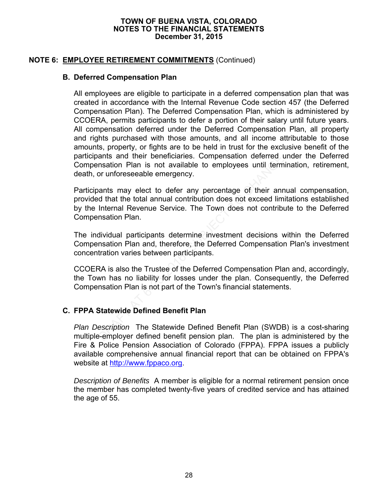## **NOTE 6: EMPLOYEE RETIREMENT COMMITMENTS** (Continued)

### **B. Deferred Compensation Plan**

All employees are eligible to participate in a deferred compensation plan that was created in accordance with the Internal Revenue Code section 457 (the Deferred Compensation Plan). The Deferred Compensation Plan, which is administered by CCOERA, permits participants to defer a portion of their salary until future years. All compensation deferred under the Deferred Compensation Plan, all property and rights purchased with those amounts, and all income attributable to those amounts, property, or fights are to be held in trust for the exclusive benefit of the participants and their beneficiaries. Compensation deferred under the Deferred Compensation Plan is not available to employees until termination, retirement, death, or unforeseeable emergency.

Participants may elect to defer any percentage of their annual compensation, provided that the total annual contribution does not exceed limitations established by the Internal Revenue Service. The Town does not contribute to the Deferred Compensation Plan. ants and their beneficiaries. Compensation deterred unsation Plan is not available to employees until term<br>or unforeseeable emergency.<br>ants may elect to defer any percentage of their annul d that the total annual contribut

The individual participants determine investment decisions within the Deferred Compensation Plan and, therefore, the Deferred Compensation Plan's investment concentration varies between participants.

CCOERA is also the Trustee of the Deferred Compensation Plan and, accordingly, the Town has no liability for losses under the plan. Consequently, the Deferred Compensation Plan is not part of the Town's financial statements.

### **C. FPPA Statewide Defined Benefit Plan**

*Plan Description* The Statewide Defined Benefit Plan (SWDB) is a cost-sharing multiple-employer defined benefit pension plan. The plan is administered by the Fire & Police Pension Association of Colorado (FPPA). FPPA issues a publicly available comprehensive annual financial report that can be obtained on FPPA's website at http://www.fppaco.org.

*Description of Benefits* A member is eligible for a normal retirement pension once the member has completed twenty-five years of credited service and has attained the age of 55.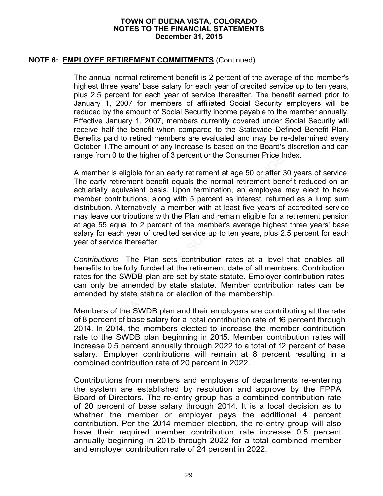### **NOTE 6: EMPLOYEE RETIREMENT COMMITMENTS** (Continued)

The annual normal retirement benefit is 2 percent of the average of the member's highest three years' base salary for each year of credited service up to ten years, plus 2.5 percent for each year of service thereafter. The benefit earned prior to January 1, 2007 for members of affiliated Social Security employers will be reduced by the amount of Social Security income payable to the member annually. Effective January 1, 2007, members currently covered under Social Security will receive half the benefit when compared to the Statewide Defined Benefit Plan. Benefits paid to retired members are evaluated and may be re-determined every October 1.The amount of any increase is based on the Board's discretion and can range from 0 to the higher of 3 percent or the Consumer Price Index.

A member is eligible for an early retirement at age 50 or after 30 years of service. The early retirement benefit equals the normal retirement benefit reduced on an actuarially equivalent basis. Upon termination, an employee may elect to have member contributions, along with 5 percent as interest, returned as a lump sum distribution. Alternatively, a member with at least five years of accredited service may leave contributions with the Plan and remain eligible for a retirement pension at age 55 equal to 2 percent of the member's average highest three years' base salary for each year of credited service up to ten years, plus 2.5 percent for each year of service thereafter. From 0 to the nigher or 3 percent or the Consumer Price if<br>ber is eligible for an early retirement at age 50 or after 1<br>rly retirement benefit equals the normal retirement benefit<br>bally equivalent basis. Upon termination,

*Contributions* The Plan sets contribution rates at a level that enables all benefits to be fully funded at the retirement date of all members. Contribution rates for the SWDB plan are set by state statute. Employer contribution rates can only be amended by state statute. Member contribution rates can be amended by state statute or election of the membership.

Members of the SWDB plan and their employers are contributing at the rate of 8 percent of base salary for a total contribution rate of 16 percent through 2014. In 2014, the members elected to increase the member contribution rate to the SWDB plan beginning in 2015. Member contribution rates will increase 0.5 percent annually through 2022 to a total of 12 percent of base salary. Employer contributions will remain at 8 percent resulting in a combined contribution rate of 20 percent in 2022.

Contributions from members and employers of departments re-entering the system are established by resolution and approve by the FPPA Board of Directors. The re-entry group has a combined contribution rate of 20 percent of base salary through 2014. It is a local decision as to whether the member or employer pays the additional 4 percent contribution. Per the 2014 member election, the re-entry group will also have their required member contribution rate increase 0.5 percent annually beginning in 2015 through 2022 for a total combined member and employer contribution rate of 24 percent in 2022.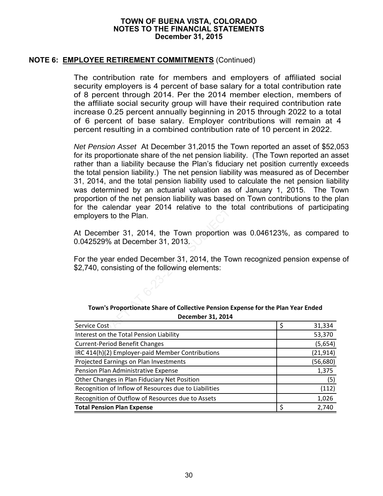### **NOTE 6: EMPLOYEE RETIREMENT COMMITMENTS** (Continued)

The contribution rate for members and employers of affiliated social security employers is 4 percent of base salary for a total contribution rate of 8 percent through 2014. Per the 2014 member election, members of the affiliate social security group will have their required contribution rate increase 0.25 percent annually beginning in 2015 through 2022 to a total of 6 percent of base salary. Employer contributions will remain at 4 percent resulting in a combined contribution rate of 10 percent in 2022.

*Net Pension Asset* At December 31,2015 the Town reported an asset of \$52,053 for its proportionate share of the net pension liability. (The Town reported an asset rather than a liability because the Plan's fiduciary net position currently exceeds the total pension liability.) The net pension liability was measured as of December 31, 2014, and the total pension liability used to calculate the net pension liability was determined by an actuarial valuation as of January 1, 2015. The Town proportion of the net pension liability was based on Town contributions to the plan for the calendar year 2014 relative to the total contributions of participating employers to the Plan. roportionate snare of the net pension liability. (The Tow<br>han a liability because the Plan's fiduciary net position<br>I pension liability.) The net pension liability was measure<br>14, and the total pension liability used to ca

At December 31, 2014, the Town proportion was 0.046123%, as compared to 0.042529% at December 31, 2013.

For the year ended December 31, 2014, the Town recognized pension expense of \$2,740, consisting of the following elements:

| Town's Proportionate Share of Collective Pension Expense for the Plan Year Ended |
|----------------------------------------------------------------------------------|
| December 31, 2014                                                                |

| Service Cost                                          | 31,334    |
|-------------------------------------------------------|-----------|
| Interest on the Total Pension Liability               | 53,370    |
| <b>Current-Period Benefit Changes</b>                 | (5,654)   |
| IRC 414(h)(2) Employer-paid Member Contributions      | (21, 914) |
| Projected Earnings on Plan Investments                | (56, 680) |
| Pension Plan Administrative Expense                   | 1,375     |
| Other Changes in Plan Fiduciary Net Position          | (5)       |
| Recognition of Inflow of Resources due to Liabilities | (112)     |
| Recognition of Outflow of Resources due to Assets     | 1,026     |
| <b>Total Pension Plan Expense</b>                     | 2,740     |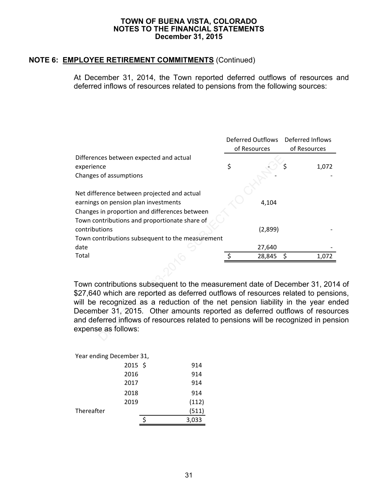# **NOTE 6: EMPLOYEE RETIREMENT COMMITMENTS** (Continued)

At December 31, 2014, the Town reported deferred outflows of resources and deferred inflows of resources related to pensions from the following sources:

|                                                                                                                                                                                                                                                | <b>Deferred Outflows</b><br>of Resources |         | Deferred Inflows<br>of Resources |       |
|------------------------------------------------------------------------------------------------------------------------------------------------------------------------------------------------------------------------------------------------|------------------------------------------|---------|----------------------------------|-------|
| Differences between expected and actual                                                                                                                                                                                                        |                                          |         |                                  |       |
| experience                                                                                                                                                                                                                                     | \$                                       |         |                                  | 1,072 |
| Changes of assumptions                                                                                                                                                                                                                         |                                          |         |                                  |       |
| Net difference between projected and actual                                                                                                                                                                                                    |                                          |         |                                  |       |
| earnings on pension plan investments                                                                                                                                                                                                           |                                          | 4,104   |                                  |       |
| Changes in proportion and differences between                                                                                                                                                                                                  |                                          |         |                                  |       |
| Town contributions and proportionate share of                                                                                                                                                                                                  |                                          |         |                                  |       |
| contributions                                                                                                                                                                                                                                  |                                          | (2,899) |                                  |       |
| Town contributions subsequent to the measurement                                                                                                                                                                                               |                                          |         |                                  |       |
| date                                                                                                                                                                                                                                           |                                          | 27,640  |                                  |       |
| Total                                                                                                                                                                                                                                          | \$                                       | 28,845  | \$                               | 1,072 |
| Town contributions subsequent to the measurement date of December 31, 201<br>\$27,640 which are reported as deferred outflows of resources related to pension<br>will be recognized as a reduction of the net pension liability in the year en |                                          |         |                                  |       |
| December 31, 2015. Other amounts reported as deferred outflows of resour<br>and deferred inflows of resources related to pensions will be recognized in pensional<br>expense as follows:                                                       |                                          |         |                                  |       |

Town contributions subsequent to the measurement date of December 31, 2014 of \$27,640 which are reported as deferred outflows of resources related to pensions, will be recognized as a reduction of the net pension liability in the year ended December 31, 2015. Other amounts reported as deferred outflows of resources and deferred inflows of resources related to pensions will be recognized in pension expense as follows:

| Year ending December 31, |       |
|--------------------------|-------|
| $2015$ \$                | 914   |
| 2016                     | 914   |
| 2017                     | 914   |
| 2018                     | 914   |
| 2019                     | (112) |
| Thereafter               | (511) |
|                          | 3,033 |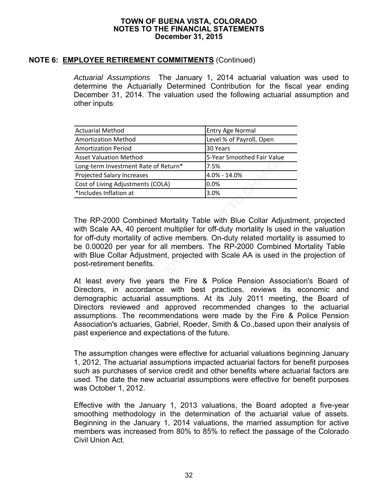### **NOTE 6: EMPLOYEE RETIREMENT COMMITMENTS** (Continued)

*Actuarial Assumptions* The January 1, 2014 actuarial valuation was used to determine the Actuarially Determined Contribution for the fiscal year ending December 31, 2014. The valuation used the following actuarial assumption and other inputs:

| <b>Actuarial Method</b>              | <b>Entry Age Normal</b>    |
|--------------------------------------|----------------------------|
| <b>Amortization Method</b>           | Level % of Payroll, Open   |
| <b>Amortization Period</b>           | 30 Years                   |
| <b>Asset Valuation Method</b>        | 5-Year Smoothed Fair Value |
| Long-term Investment Rate of Return* | 7.5%                       |
| <b>Projected Salary Increases</b>    | 4.0% - 14.0%               |
| Cost of Living Adjustments (COLA)    | 0.0%                       |
| *Includes Inflation at               | 3.0%                       |

The RP-2000 Combined Mortality Table with Blue Collar Adjustment, projected with Scale AA, 40 percent multiplier for off-duty mortality Is used in the valuation for off-duty mortality of active members. On-duty related mortality is assumed to be 0.00020 per year for all members. The RP-2000 Combined Mortality Table with Blue Collar Adjustment, projected with Scale AA is used in the projection of post-retirement benefits.

At least every five years the Fire & Police Pension Association's Board of Directors, in accordance with best practices, reviews its economic and demographic actuarial assumptions. At its July 2011 meeting, the Board of Directors reviewed and approved recommended changes to the actuarial assumptions. The recommendations were made by the Fire & Police Pension Association's actuaries, Gabriel, Roeder, Smith & Co.,based upon their analysis of past experience and expectations of the future. S-Year Smoothed Fair Value<br>
In Investment Rate of Return\* 7.5%<br>
In Salary Increases<br>
4.0% - 14.0%<br>
INMERT Adjustments (COLA) 0.0%<br>
Sumfation at 3.0%<br>
2-2000 Combined Mortality Table with Blue Collar Adjuster<br>
2-2000 Combin

The assumption changes were effective for actuarial valuations beginning January 1, 2012. The actuarial assumptions impacted actuarial factors for benefit purposes such as purchases of service credit and other benefits where actuarial factors are used. The date the new actuarial assumptions were effective for benefit purposes was October 1, 2012.

Effective with the January 1, 2013 valuations, the Board adopted a five-year smoothing methodology in the determination of the actuarial value of assets. Beginning in the January 1, 2014 valuations, the married assumption for active members was increased from 80% to 85% to reflect the passage of the Colorado Civil Union Act.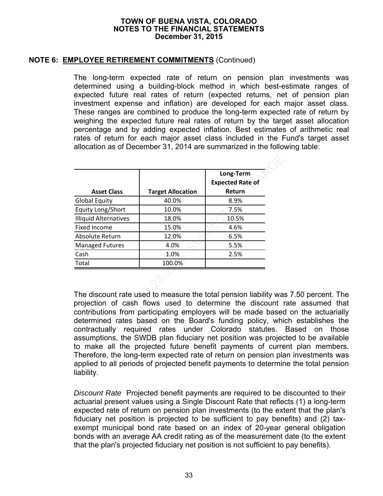### **NOTE 6: EMPLOYEE RETIREMENT COMMITMENTS** (Continued)

The long-term expected rate of return on pension plan investments was determined using a building-block method in which best-estimate ranges of expected future real rates of return (expected returns, net of pension plan investment expense and inflation) are developed for each major asset class. These ranges are combined to produce the long-term expected rate of return by weighing the expected future real rates of return by the target asset allocation percentage and by adding expected inflation. Best estimates of arithmetic real rates of return for each major asset class included in the Fund's target asset allocation as of December 31, 2014 are summarized in the following table:

| <b>Asset Class</b>                                                                                                                                                                                                                                             | <b>Target Allocation</b>                              | Long-Term<br><b>Expected Rate of</b><br>Return |
|----------------------------------------------------------------------------------------------------------------------------------------------------------------------------------------------------------------------------------------------------------------|-------------------------------------------------------|------------------------------------------------|
| <b>Global Equity</b>                                                                                                                                                                                                                                           | 40.0%                                                 | 8.9%                                           |
| Equity Long/Short                                                                                                                                                                                                                                              | 10.0%                                                 | 7.5%                                           |
| <b>Illiquid Alternatives</b>                                                                                                                                                                                                                                   | 18.0%                                                 | 10.5%                                          |
| <b>Fixed Income</b>                                                                                                                                                                                                                                            | 15.0%                                                 | 4.6%                                           |
| Absolute Return                                                                                                                                                                                                                                                | 12.0%                                                 | 6.5%                                           |
| <b>Managed Futures</b>                                                                                                                                                                                                                                         | 4.0%                                                  | 5.5%                                           |
| Cash                                                                                                                                                                                                                                                           | 1.0%                                                  | 2.5%                                           |
| Total                                                                                                                                                                                                                                                          | 100.0%                                                |                                                |
|                                                                                                                                                                                                                                                                |                                                       |                                                |
| The discount rate used to measure the total pension liability ware<br>projection of cash flows used to determine the discount in<br>contributions from participating employers will be made based<br>determined rates based on the Board's funding policy, whi | contractually required rates under Colorado statutes. |                                                |

The discount rate used to measure the total pension liability was 7.50 percent. The projection of cash flows used to determine the discount rate assumed that contributions from participating employers will be made based on the actuarially determined rates based on the Board's funding policy, which establishes the contractually required rates under Colorado statutes. Based on those assumptions, the SWDB plan fiduciary net position was projected to be available to make all the projected future benefit payments of current plan members. Therefore, the long-term expected rate of return on pension plan investments was applied to all periods of projected benefit payments to determine the total pension liability.

*Discount Rate* Projected benefit payments are required to be discounted to their actuarial present values using a Single Discount Rate that reflects (1) a long-term expected rate of return on pension plan investments (to the extent that the plan's fiduciary net position is projected to be sufficient to pay benefits) and (2) taxexempt municipal bond rate based on an index of 20-year general obligation bonds with an average AA credit rating as of the measurement date (to the extent that the plan's projected fiduciary net position is not sufficient to pay benefits).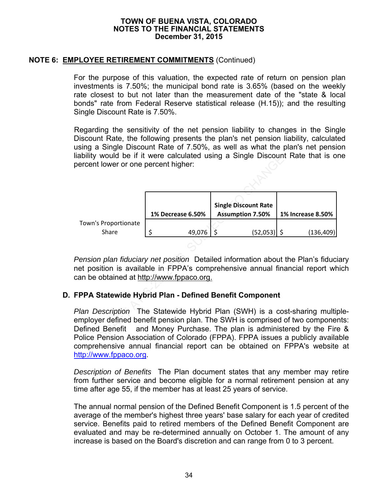## **NOTE 6: EMPLOYEE RETIREMENT COMMITMENTS** (Continued)

For the purpose of this valuation, the expected rate of return on pension plan investments is 7.50%; the municipal bond rate is 3.65% (based on the weekly rate closest to but not later than the measurement date of the "state & local bonds" rate from Federal Reserve statistical release (H.15)); and the resulting Single Discount Rate is 7.50%.

Regarding the sensitivity of the net pension liability to changes in the Single Discount Rate, the following presents the plan's net pension liability, calculated using a Single Discount Rate of 7.50%, as well as what the plan's net pension liability would be if it were calculated using a Single Discount Rate that is one percent lower or one percent higher:

| lability would be if it were calculated using a Single Discount Rate that is o<br>bercent lower or one percent higher:                                                                                                                                                                                             |                   |                                                        |                          |
|--------------------------------------------------------------------------------------------------------------------------------------------------------------------------------------------------------------------------------------------------------------------------------------------------------------------|-------------------|--------------------------------------------------------|--------------------------|
|                                                                                                                                                                                                                                                                                                                    |                   |                                                        |                          |
|                                                                                                                                                                                                                                                                                                                    | 1% Decrease 6.50% | <b>Single Discount Rate</b><br><b>Assumption 7.50%</b> | <b>1% Increase 8.50%</b> |
| Town's Proportionate                                                                                                                                                                                                                                                                                               |                   |                                                        |                          |
| Share                                                                                                                                                                                                                                                                                                              | 49,076 \$<br>\$   | $(52,053)$ \$                                          | (136, 409)               |
|                                                                                                                                                                                                                                                                                                                    |                   |                                                        |                          |
| Pension plan fiduciary net position Detailed information about the Plan's fiduc<br>net position is available in FPPA's comprehensive annual financial report wh<br>can be obtained at http://www.fppaco.org.                                                                                                       |                   |                                                        |                          |
| <b>FPPA Statewide Hybrid Plan - Defined Benefit Component</b>                                                                                                                                                                                                                                                      |                   |                                                        |                          |
| Plan Description The Statewide Hybrid Plan (SWH) is a cost-sharing multi<br>employer defined benefit pension plan. The SWH is comprised of two compone<br>Defined Benefit and Money Purchase. The plan is administered by the Fire<br>Police Pension Association of Colorado (FPPA). FPPA issues a publicly availa |                   |                                                        |                          |

*Pension plan fiduciary net position* Detailed information about the Plan's fiduciary net position is available in FPPA's comprehensive annual financial report which can be obtained at http://www.fppaco.org.

### **D. FPPA Statewide Hybrid Plan - Defined Benefit Component**

*Plan Description* The Statewide Hybrid Plan (SWH) is a cost-sharing multipleemployer defined benefit pension plan. The SWH is comprised of two components: Defined Benefit and Money Purchase. The plan is administered by the Fire & Police Pension Association of Colorado (FPPA). FPPA issues a publicly available comprehensive annual financial report can be obtained on FPPA's website at http://www.fppaco.org.

*Description of Benefits* The Plan document states that any member may retire from further service and become eligible for a normal retirement pension at any time after age 55, if the member has at least 25 years of service.

The annual normal pension of the Defined Benefit Component is 1.5 percent of the average of the member's highest three years' base salary for each year of credited service. Benefits paid to retired members of the Defined Benefit Component are evaluated and may be re-determined annually on October 1. The amount of any increase is based on the Board's discretion and can range from 0 to 3 percent.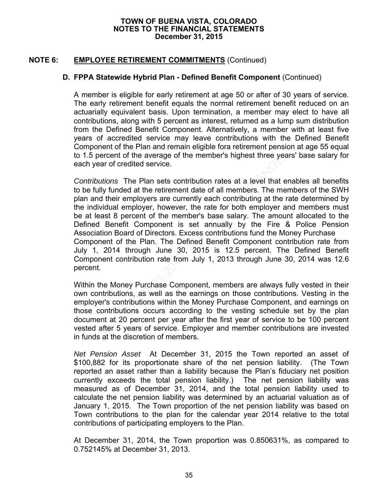# **NOTE 6: EMPLOYEE RETIREMENT COMMITMENTS** (Continued)

### **D. FPPA Statewide Hybrid Plan - Defined Benefit Component** (Continued)

A member is eligible for early retirement at age 50 or after of 30 years of service. The early retirement benefit equals the normal retirement benefit reduced on an actuarially equivalent basis. Upon termination, a member may elect to have all contributions, along with 5 percent as interest, returned as a lump sum distribution from the Defined Benefit Component. Alternatively, a member with at least five years of accredited service may leave contributions with the Defined Benefit Component of the Plan and remain eligible fora retirement pension at age 55 equal to 1.5 percent of the average of the member's highest three years' base salary for each year of credited service.

*Contributions* The Plan sets contribution rates at a level that enables all benefits to be fully funded at the retirement date of all members. The members of the SWH plan and their employers are currently each contributing at the rate determined by the individual employer, however, the rate for both employer and members must be at least 8 percent of the member's base salary. The amount allocated to the Defined Benefit Component is set annually by the Fire & Police Pension Association Board of Directors. Excess contributions fund the Money Purchase Component of the Plan. The Defined Benefit Component contribution rate from July 1, 2014 through June 30, 2015 is 12.5 percent. The Defined Benefit Component contribution rate from July 1, 2013 through June 30, 2014 was 12.6 percent. bercent of the average of the members nignest three ye<br>ear of credited service.<br>Utions The Plan sets contribution rates at a level that eilly funded at the retirement date of all members. The me<br>of their employers are curr

Within the Money Purchase Component, members are always fully vested in their own contributions, as well as the earnings on those contributions. Vesting in the employer's contributions within the Money Purchase Component, and earnings on those contributions occurs according to the vesting schedule set by the plan document at 20 percent per year after the first year of service to be 100 percent vested after 5 years of service. Employer and member contributions are invested in funds at the discretion of members.

*Net Pension Asset* At December 31, 2015 the Town reported an asset of \$100,882 for its proportionate share of the net pension liability. (The Town reported an asset rather than a liability because the Plan's fiduciary net position currently exceeds the total pension liability.) The net pension liability was measured as of December 31, 2014, and the total pension liability used to calculate the net pension liability was determined by an actuarial valuation as of January 1, 2015. The Town proportion of the net pension liability was based on Town contributions to the plan for the calendar year 2014 relative to the total contributions of participating employers to the Plan.

At December 31, 2014, the Town proportion was 0.850631%, as compared to 0.752145% at December 31, 2013.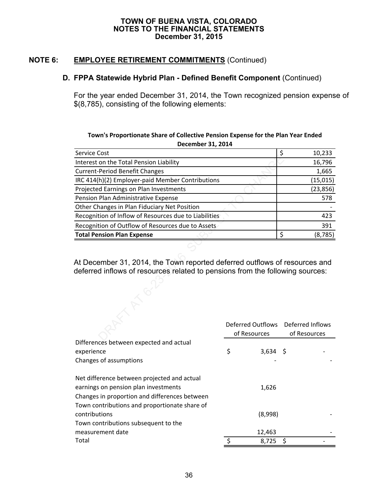# **NOTE 6: EMPLOYEE RETIREMENT COMMITMENTS** (Continued)

### **D. FPPA Statewide Hybrid Plan - Defined Benefit Component** (Continued)

For the year ended December 31, 2014, the Town recognized pension expense of \$(8,785), consisting of the following elements:

### **Town's Proportionate Share of Collective Pension Expense for the Plan Year Ended December 31, 2014**

| Service Cost                                                                                                                                                |                                   | \$<br>10,233                     |
|-------------------------------------------------------------------------------------------------------------------------------------------------------------|-----------------------------------|----------------------------------|
| Interest on the Total Pension Liability                                                                                                                     |                                   | 16,796                           |
| <b>Current-Period Benefit Changes</b>                                                                                                                       |                                   | 1,665                            |
| IRC 414(h)(2) Employer-paid Member Contributions                                                                                                            |                                   | (15, 015)                        |
| Projected Earnings on Plan Investments                                                                                                                      |                                   | (23, 856)                        |
| Pension Plan Administrative Expense                                                                                                                         |                                   | 578                              |
| Other Changes in Plan Fiduciary Net Position                                                                                                                |                                   |                                  |
| Recognition of Inflow of Resources due to Liabilities                                                                                                       |                                   | 423                              |
| Recognition of Outflow of Resources due to Assets                                                                                                           |                                   | 391                              |
| <b>Total Pension Plan Expense</b>                                                                                                                           |                                   | Ś<br>(8, 785)                    |
| At December 31, 2014, the Town reported deferred outflows of resources and<br>deferred inflows of resources related to pensions from the following sources: |                                   |                                  |
|                                                                                                                                                             | Deferred Outflows<br>of Resources | Deferred Inflows<br>of Resources |

|                                               | Deferred Outflows Deferred Inflows<br>of Resources |            | of Resources |  |
|-----------------------------------------------|----------------------------------------------------|------------|--------------|--|
| Differences between expected and actual       |                                                    |            |              |  |
| experience                                    | \$                                                 | $3,634$ \$ |              |  |
| Changes of assumptions                        |                                                    |            |              |  |
| Net difference between projected and actual   |                                                    |            |              |  |
| earnings on pension plan investments          |                                                    | 1,626      |              |  |
| Changes in proportion and differences between |                                                    |            |              |  |
| Town contributions and proportionate share of |                                                    |            |              |  |
| contributions                                 |                                                    | (8,998)    |              |  |
| Town contributions subsequent to the          |                                                    |            |              |  |
| measurement date                              |                                                    | 12,463     |              |  |
| Total                                         |                                                    | 8,725      |              |  |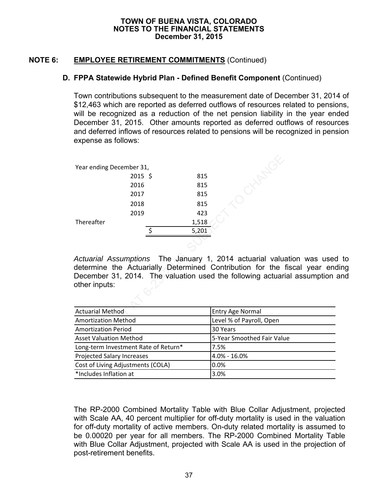# **NOTE 6: EMPLOYEE RETIREMENT COMMITMENTS** (Continued)

### **D. FPPA Statewide Hybrid Plan - Defined Benefit Component** (Continued)

Town contributions subsequent to the measurement date of December 31, 2014 of \$12,463 which are reported as deferred outflows of resources related to pensions, will be recognized as a reduction of the net pension liability in the year ended December 31, 2015. Other amounts reported as deferred outflows of resources and deferred inflows of resources related to pensions will be recognized in pension expense as follows:

| Year ending December 31,      |         |                |       |                                                            |
|-------------------------------|---------|----------------|-------|------------------------------------------------------------|
|                               | 2015 \$ |                | 815   |                                                            |
|                               | 2016    |                | 815   |                                                            |
|                               | 2017    |                | 815   |                                                            |
|                               | 2018    |                | 815   |                                                            |
|                               | 2019    |                | 423   |                                                            |
| Thereafter                    |         |                | 1,518 |                                                            |
|                               |         | $\ddot{\zeta}$ | 5,201 |                                                            |
|                               |         |                |       |                                                            |
|                               |         |                |       |                                                            |
|                               |         |                |       | Actuarial Assumptions The January 1, 2014 actuarial valu   |
|                               |         |                |       | determine the Actuarially Determined Contribution for the  |
|                               |         |                |       | December 31, 2014. The valuation used the following actuar |
| other inputs:                 |         |                |       |                                                            |
|                               |         |                |       |                                                            |
|                               |         |                |       |                                                            |
| <b>Actuarial Method</b>       |         |                |       | <b>Entry Age Normal</b>                                    |
| <b>Amortization Method</b>    |         |                |       | Level % of Payroll, Open                                   |
| <b>Amortization Period</b>    |         |                |       | 30 Years                                                   |
| <b>Asset Valuation Method</b> |         |                |       | 5-Year Smoothed Fair Valu                                  |

*Actuarial Assumptions* The January 1, 2014 actuarial valuation was used to determine the Actuarially Determined Contribution for the fiscal year ending December 31, 2014. The valuation used the following actuarial assumption and other inputs:

| <b>Actuarial Method</b>              | <b>Entry Age Normal</b>    |
|--------------------------------------|----------------------------|
| <b>Amortization Method</b>           | Level % of Payroll, Open   |
| <b>Amortization Period</b>           | 30 Years                   |
| <b>Asset Valuation Method</b>        | 5-Year Smoothed Fair Value |
| Long-term Investment Rate of Return* | 7.5%                       |
| <b>Projected Salary Increases</b>    | 4.0% - 16.0%               |
| Cost of Living Adjustments (COLA)    | 0.0%                       |
| *Includes Inflation at               | 3.0%                       |

The RP-2000 Combined Mortality Table with Blue Collar Adjustment, projected with Scale AA, 40 percent multiplier for off-duty mortality is used in the valuation for off-duty mortality of active members. On-duty related mortality is assumed to be 0.00020 per year for all members. The RP-2000 Combined Mortality Table with Blue Collar Adjustment, projected with Scale AA is used in the projection of post-retirement benefits.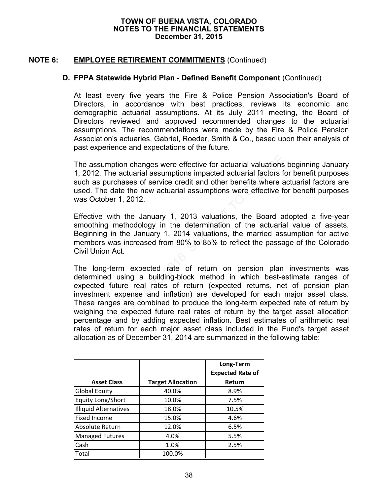### **NOTE 6: EMPLOYEE RETIREMENT COMMITMENTS** (Continued)

### **D. FPPA Statewide Hybrid Plan - Defined Benefit Component** (Continued)

At least every five years the Fire & Police Pension Association's Board of Directors, in accordance with best practices, reviews its economic and demographic actuarial assumptions. At its July 2011 meeting, the Board of Directors reviewed and approved recommended changes to the actuarial assumptions. The recommendations were made by the Fire & Police Pension Association's actuaries, Gabriel, Roeder, Smith & Co., based upon their analysis of past experience and expectations of the future.

The assumption changes were effective for actuarial valuations beginning January 1, 2012. The actuarial assumptions impacted actuarial factors for benefit purposes such as purchases of service credit and other benefits where actuarial factors are used. The date the new actuarial assumptions were effective for benefit purposes was October 1, 2012.

Effective with the January 1, 2013 valuations, the Board adopted a five-year smoothing methodology in the determination of the actuarial value of assets. Beginning in the January 1, 2014 valuations, the married assumption for active members was increased from 80% to 85% to reflect the passage of the Colorado Civil Union Act.

The long-term expected rate of return on pension plan investments was determined using a building-block method in which best-estimate ranges of expected future real rates of return (expected returns, net of pension plan investment expense and inflation) are developed for each major asset class. These ranges are combined to produce the long-term expected rate of return by weighing the expected future real rates of return by the target asset allocation percentage and by adding expected inflation. Best estimates of arithmetic real rates of return for each major asset class included in the Fund's target asset allocation as of December 31, 2014 are summarized in the following table: sumption changes were effective for actuarial valuations<br>
2. The actuarial assumptions impacted actuarial factors five purchases of service credit and other benefits where  $\epsilon$ <br>
7. Purchases of service credit and other ben

|                              |                          | Long-Term<br><b>Expected Rate of</b> |
|------------------------------|--------------------------|--------------------------------------|
| <b>Asset Class</b>           | <b>Target Allocation</b> | Return                               |
| <b>Global Equity</b>         | 40.0%                    | 8.9%                                 |
| Equity Long/Short            | 10.0%                    | 7.5%                                 |
| <b>Illiquid Alternatives</b> | 18.0%                    | 10.5%                                |
| Fixed Income                 | 15.0%                    | 4.6%                                 |
| Absolute Return              | 12.0%                    | 6.5%                                 |
| <b>Managed Futures</b>       | 4.0%                     | 5.5%                                 |
| Cash                         | 1.0%                     | 2.5%                                 |
| Total                        | 100.0%                   |                                      |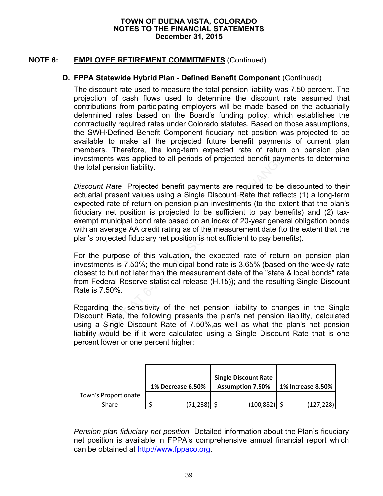# **NOTE 6: EMPLOYEE RETIREMENT COMMITMENTS** (Continued)

### **D. FPPA Statewide Hybrid Plan - Defined Benefit Component** (Continued)

The discount rate used to measure the total pension liability was 7.50 percent. The projection of cash flows used to determine the discount rate assumed that contributions from participating employers will be made based on the actuarially determined rates based on the Board's funding policy, which establishes the contractually required rates under Colorado statutes. Based on those assumptions, the SWH·Defined Benefit Component fiduciary net position was projected to be available to make all the projected future benefit payments of current plan members. Therefore, the long-term expected rate of return on pension plan investments was applied to all periods of projected benefit payments to determine the total pension liability.

*Discount Rate* Projected benefit payments are required to be discounted to their actuarial present values using a Single Discount Rate that reflects (1) a long-term expected rate of return on pension plan investments (to the extent that the plan's fiduciary net position is projected to be sufficient to pay benefits) and (2) taxexempt municipal bond rate based on an index of 20-year general obligation bonds with an average AA credit rating as of the measurement date (to the extent that the plan's projected fiduciary net position is not sufficient to pay benefits). nents was applied to all periods of projected benefit pay<br>il pension liability.<br>In the Projected benefit payments are required to be<br>al present values using a Single Discount Rate that reflect<br>rate of return on pension pla

For the purpose of this valuation, the expected rate of return on pension plan investments is 7.50%; the municipal bond rate is 3.65% (based on the weekly rate closest to but not later than the measurement date of the "state & local bonds" rate from Federal Reserve statistical release (H.15)); and the resulting Single Discount Rate is 7.50%.

Regarding the sensitivity of the net pension liability to changes in the Single Discount Rate, the following presents the plan's net pension liability, calculated using a Single Discount Rate of 7.50%,as well as what the plan's net pension liability would be if it were calculated using a Single Discount Rate that is one percent lower or one percent higher:

|                      | <b>1% Decrease 6.50%</b> | <b>Single Discount Rate</b><br><b>Assumption 7.50%</b> | <b>1% Increase 8.50%</b> |
|----------------------|--------------------------|--------------------------------------------------------|--------------------------|
| Town's Proportionate |                          |                                                        |                          |
| Share                | (71, 238)                | (100, 882)                                             | (127, 228)               |

*Pension plan fiduciary net position* Detailed information about the Plan's fiduciary net position is available in FPPA's comprehensive annual financial report which can be obtained at http://www.fppaco.org.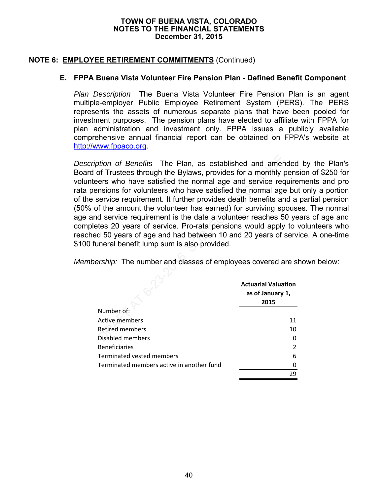## **NOTE 6: EMPLOYEE RETIREMENT COMMITMENTS** (Continued)

## **E. FPPA Buena Vista Volunteer Fire Pension Plan - Defined Benefit Component**

*Plan Description* The Buena Vista Volunteer Fire Pension Plan is an agent multiple-employer Public Employee Retirement System (PERS). The PERS represents the assets of numerous separate plans that have been pooled for investment purposes. The pension plans have elected to affiliate with FPPA for plan administration and investment only. FPPA issues a publicly available comprehensive annual financial report can be obtained on FPPA's website at http://www.fppaco.org.

*Description of Benefits* The Plan, as established and amended by the Plan's Board of Trustees through the Bylaws, provides for a monthly pension of \$250 for volunteers who have satisfied the normal age and service requirements and pro rata pensions for volunteers who have satisfied the normal age but only a portion of the service requirement. It further provides death benefits and a partial pension (50% of the amount the volunteer has earned) for surviving spouses. The normal age and service requirement is the date a volunteer reaches 50 years of age and completes 20 years of service. Pro-rata pensions would apply to volunteers who reached 50 years of age and had between 10 and 20 years of service. A one-time \$100 funeral benefit lump sum is also provided. or of *Benefits* The Plan, as established and amer of Trustees through the Bylaws, provides for a monthly rers who have satisfied the normal age and service requirement. It further provides death benefits are f the amount

*Membership:* The number and classes of employees covered are shown below:

|                                           | <b>Actuarial Valuation</b><br>as of January 1,<br>2015 |
|-------------------------------------------|--------------------------------------------------------|
| Number of:                                |                                                        |
| Active members                            | 11                                                     |
| <b>Retired members</b>                    | 10                                                     |
| Disabled members                          |                                                        |
| <b>Beneficiaries</b>                      |                                                        |
| Terminated vested members                 | 6                                                      |
| Terminated members active in another fund |                                                        |
|                                           | 29                                                     |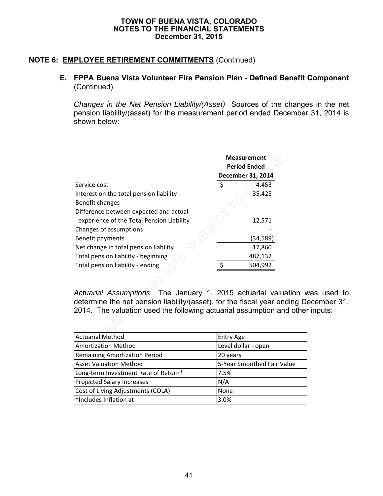### **NOTE 6: EMPLOYEE RETIREMENT COMMITMENTS** (Continued)

### **E. FPPA Buena Vista Volunteer Fire Pension Plan - Defined Benefit Component**  (Continued)

*Changes in the Net Pension Liability/(Asset)* Sources of the changes in the net pension liability/(asset) for the measurement period ended December 31, 2014 is shown below:

|                                                                                                                                                                                                   | <b>Measurement</b><br><b>Period Ended</b> |                   |
|---------------------------------------------------------------------------------------------------------------------------------------------------------------------------------------------------|-------------------------------------------|-------------------|
|                                                                                                                                                                                                   |                                           | December 31, 2014 |
| Service cost                                                                                                                                                                                      | \$                                        | 4,453             |
| Interest on the total pension liability                                                                                                                                                           |                                           | 35,425            |
| Benefit changes                                                                                                                                                                                   |                                           |                   |
| Difference between expected and actual                                                                                                                                                            |                                           |                   |
| experience of the Total Pension Liability                                                                                                                                                         |                                           | 12,571            |
| Changes of assumptions                                                                                                                                                                            |                                           |                   |
| Benefit payments                                                                                                                                                                                  |                                           | (34, 589)         |
| Net change in total pension liability                                                                                                                                                             |                                           | 17,860            |
| Total pension liability - beginning                                                                                                                                                               |                                           | 487,132           |
| Total pension liability - ending                                                                                                                                                                  | $\zeta$                                   | 504,992           |
|                                                                                                                                                                                                   |                                           |                   |
| Actuarial Assumptions The January 1, 2015 actuarial valu<br>determine the net pension liability/(asset). for the fiscal year en<br>2014. The valuation used the following actuarial assumption an |                                           |                   |
|                                                                                                                                                                                                   |                                           |                   |
| <b>Actuarial Method</b>                                                                                                                                                                           | <b>Entry Age</b>                          |                   |

*Actuarial Assumptions* The January 1, 2015 actuarial valuation was used to determine the net pension liability/(asset). for the fiscal year ending December 31, 2014. The valuation used the following actuarial assumption and other inputs:

| <b>Actuarial Method</b>              | <b>Entry Age</b>           |
|--------------------------------------|----------------------------|
| <b>Amortization Method</b>           | Level dollar - open        |
| <b>Remaining Amortization Period</b> | 20 years                   |
| <b>Asset Valuation Method</b>        | 5-Year Smoothed Fair Value |
| Long-term Investment Rate of Return* | 7.5%                       |
| <b>Projected Salary Increases</b>    | N/A                        |
| Cost of Living Adjustments (COLA)    | None                       |
| *Includes Inflation at               | 3.0%                       |
|                                      |                            |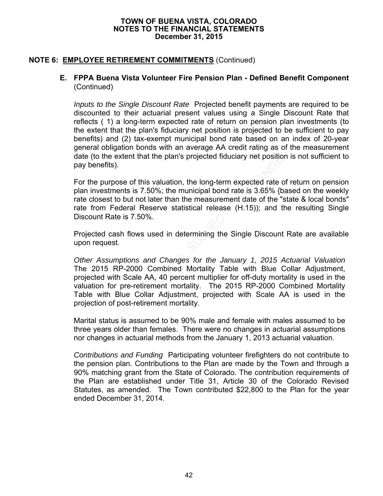# **NOTE 6: EMPLOYEE RETIREMENT COMMITMENTS** (Continued)

### **E. FPPA Buena Vista Volunteer Fire Pension Plan - Defined Benefit Component**  (Continued)

*Inputs to the Single Discount Rate* Projected benefit payments are required to be discounted to their actuarial present values using a Single Discount Rate that reflects ( 1) a long-term expected rate of return on pension plan investments (to the extent that the plan's fiduciary net position is projected to be sufficient to pay benefits) and (2) tax-exempt municipal bond rate based on an index of 20-year general obligation bonds with an average AA credit rating as of the measurement date (to the extent that the plan's projected fiduciary net position is not sufficient to pay benefits).

For the purpose of this valuation, the long-term expected rate of return on pension plan investments is 7.50%; the municipal bond rate is 3.65% {based on the weekly rate closest to but not later than the measurement date of the "state & local bonds" rate from Federal Reserve statistical release (H.15)); and the resulting Single Discount Rate is 7.50%.

Projected cash flows used in determining the Single Discount Rate are available upon request.

*Other Assumptions and Changes for the January 1, 2015 Actuarial Valuation*  The 2015 RP-2000 Combined Mortality Table with Blue Collar Adjustment, projected with Scale AA, 40 percent multiplier for off-duty mortality is used in the valuation for pre-retirement mortality. The 2015 RP-2000 Combined Mortality Table with Blue Collar Adjustment, projected with Scale AA is used in the projection of post-retirement mortality. is the extent that the plan's projected itduciary net position<br>nefits).<br>purpose of this valuation, the long-term expected rate c<br>vestments is 7.50%; the municipal bond rate is 3.65% {b<br>sest to but not later than the measur

Marital status is assumed to be 90% male and female with males assumed to be three years older than females. There were no changes in actuarial assumptions nor changes in actuarial methods from the January 1, 2013 actuarial valuation.

*Contributions and Funding* Participating volunteer firefighters do not contribute to the pension plan. Contributions to the Plan are made by the Town and through a 90% matching grant from the State of Colorado. The contribution requirements of the Plan are established under Title 31, Article 30 of the Colorado Revised Statutes, as amended. The Town contributed \$22,800 to the Plan for the year ended December 31, 2014.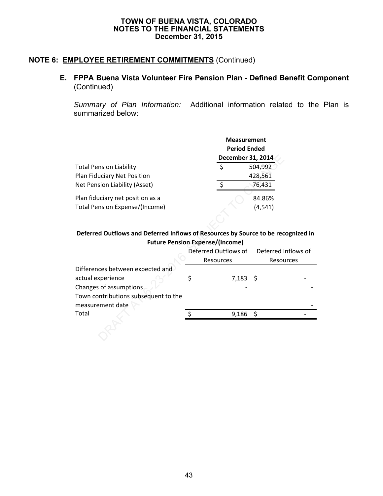# **NOTE 6: EMPLOYEE RETIREMENT COMMITMENTS** (Continued)

# **E. FPPA Buena Vista Volunteer Fire Pension Plan - Defined Benefit Component**  (Continued)

*Summary of Plan Information:* Additional information related to the Plan is summarized below:

|                                                                           | <b>Measurement</b><br><b>Period Ended</b><br>December 31, 2014 |                    |  |  |
|---------------------------------------------------------------------------|----------------------------------------------------------------|--------------------|--|--|
| <b>Total Pension Liability</b><br>Plan Fiduciary Net Position             |                                                                | 504,992<br>428,561 |  |  |
| Net Pension Liability (Asset)                                             |                                                                | 76,431             |  |  |
| Plan fiduciary net position as a<br><b>Total Pension Expense/(Income)</b> |                                                                | 84.86%<br>(4.541)  |  |  |

### **Deferred Outflows and Deferred Inflows of Resources by Source to be recognized in Future Pension Expense/(Income)**

|                                                                                   | December 31, 2014    |                     |  |
|-----------------------------------------------------------------------------------|----------------------|---------------------|--|
| <b>Total Pension Liability</b>                                                    | \$                   | 504,992             |  |
| Plan Fiduciary Net Position                                                       |                      | 428,561             |  |
| Net Pension Liability (Asset)                                                     | $\ddot{\phi}$        | 76,431              |  |
| Plan fiduciary net position as a                                                  |                      | 84.86%              |  |
| <b>Total Pension Expense/(Income)</b>                                             |                      | (4, 541)            |  |
|                                                                                   |                      |                     |  |
| Deferred Outflows and Deferred Inflows of Resources by Source to be recognized in |                      |                     |  |
| <b>Future Pension Expense/(Income)</b>                                            |                      |                     |  |
|                                                                                   | Deferred Outflows of | Deferred Inflows of |  |
|                                                                                   | Resources            | Resources           |  |
| Differences between expected and                                                  |                      |                     |  |
| actual experience                                                                 | \$<br>7,183          | - \$                |  |
| Changes of assumptions                                                            |                      |                     |  |
| Town contributions subsequent to the                                              |                      |                     |  |
| measurement date                                                                  |                      |                     |  |
| Total                                                                             | 9,186                | \$                  |  |
|                                                                                   |                      |                     |  |
|                                                                                   |                      |                     |  |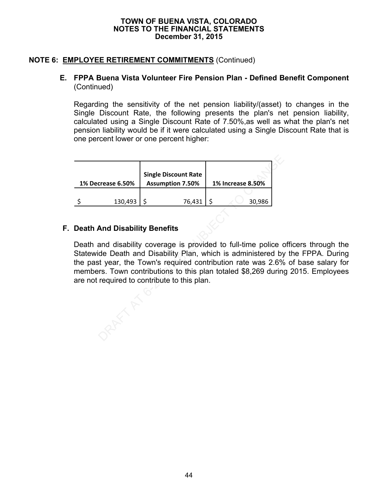## **NOTE 6: EMPLOYEE RETIREMENT COMMITMENTS** (Continued)

### **E. FPPA Buena Vista Volunteer Fire Pension Plan - Defined Benefit Component**  (Continued)

Regarding the sensitivity of the net pension liability/(asset) to changes in the Single Discount Rate, the following presents the plan's net pension liability, calculated using a Single Discount Rate of 7.50%,as well as what the plan's net pension liability would be if it were calculated using a Single Discount Rate that is one percent lower or one percent higher:

| 1% Decrease 6.50%                            | <b>Single Discount Rate</b><br><b>Assumption 7.50%</b> | 1% Increase 8.50%                                                                                                                                                                                                                                                     |
|----------------------------------------------|--------------------------------------------------------|-----------------------------------------------------------------------------------------------------------------------------------------------------------------------------------------------------------------------------------------------------------------------|
| \$<br>130,493                                | \$<br>76,431                                           | \$<br>30,986                                                                                                                                                                                                                                                          |
| <b>Death And Disability Benefits</b>         |                                                        |                                                                                                                                                                                                                                                                       |
| are not required to contribute to this plan. |                                                        | Death and disability coverage is provided to full-time police of<br>Statewide Death and Disability Plan, which is administered by<br>the past year, the Town's required contribution rate was 2.6%<br>members. Town contributions to this plan totaled \$8,269 during |

# **F. Death And Disability Benefits**

Death and disability coverage is provided to full-time police officers through the Statewide Death and Disability Plan, which is administered by the FPPA. During the past year, the Town's required contribution rate was 2.6% of base salary for members. Town contributions to this plan totaled \$8,269 during 2015. Employees are not required to contribute to this plan.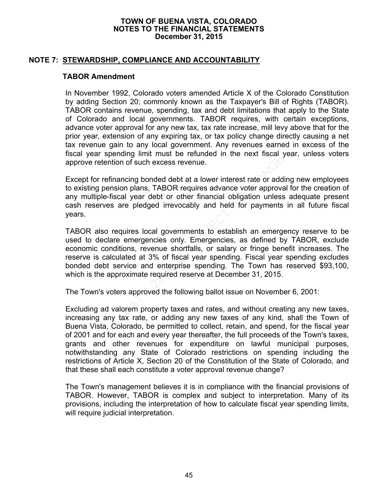### **NOTE 7: STEWARDSHIP, COMPLIANCE AND ACCOUNTABILITY**

### **TABOR Amendment**

In November 1992, Colorado voters amended Article X of the Colorado Constitution by adding Section 20; commonly known as the Taxpayer's Bill of Rights (TABOR). TABOR contains revenue, spending, tax and debt limitations that apply to the State of Colorado and local governments. TABOR requires, with certain exceptions, advance voter approval for any new tax, tax rate increase, mill levy above that for the prior year, extension of any expiring tax, or tax policy change directly causing a net tax revenue gain to any local government. Any revenues earned in excess of the fiscal year spending limit must be refunded in the next fiscal year, unless voters approve retention of such excess revenue.

Except for refinancing bonded debt at a lower interest rate or adding new employees to existing pension plans, TABOR requires advance voter approval for the creation of any multiple-fiscal year debt or other financial obligation unless adequate present cash reserves are pledged irrevocably and held for payments in all future fiscal years.

TABOR also requires local governments to establish an emergency reserve to be used to declare emergencies only. Emergencies, as defined by TABOR, exclude economic conditions, revenue shortfalls, or salary or fringe benefit increases. The reserve is calculated at 3% of fiscal year spending. Fiscal year spending excludes bonded debt service and enterprise spending. The Town has reserved \$93,100, which is the approximate required reserve at December 31, 2015. Proposition of such excess revenue.<br>
The refinancing bonded debt at a lower interest rate or add<br>
pension plans, TABOR requires advance voter approva<br>
ple-fiscal year debt or other financial obligation unless<br>
gives are pl

The Town's voters approved the following ballot issue on November 6, 2001:

Excluding ad valorem property taxes and rates, and without creating any new taxes, increasing any tax rate, or adding any new taxes of any kind, shall the Town of Buena Vista, Colorado, be permitted to collect, retain, and spend, for the fiscal year of 2001 and for each and every year thereafter, the full proceeds of the Town's taxes, grants and other revenues for expenditure on lawful municipal purposes, notwithstanding any State of Colorado restrictions on spending including the restrictions of Article X, Section 20 of the Constitution of the State of Colorado, and that these shall each constitute a voter approval revenue change?

The Town's management believes it is in compliance with the financial provisions of TABOR. However, TABOR is complex and subject to interpretation. Many of its provisions, including the interpretation of how to calculate fiscal year spending limits, will require judicial interpretation.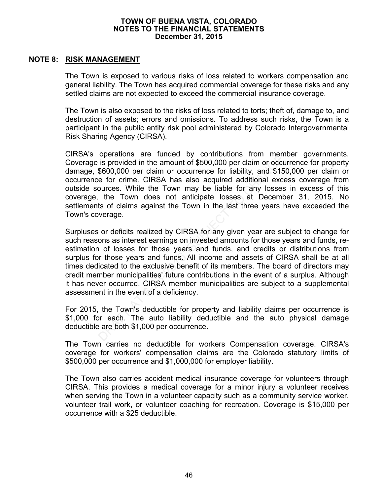### **NOTE 8: RISK MANAGEMENT**

The Town is exposed to various risks of loss related to workers compensation and general liability. The Town has acquired commercial coverage for these risks and any settled claims are not expected to exceed the commercial insurance coverage.

The Town is also exposed to the risks of loss related to torts; theft of, damage to, and destruction of assets; errors and omissions. To address such risks, the Town is a participant in the public entity risk pool administered by Colorado Intergovernmental Risk Sharing Agency (CIRSA).

CIRSA's operations are funded by contributions from member governments. Coverage is provided in the amount of \$500,000 per claim or occurrence for property damage, \$600,000 per claim or occurrence for liability, and \$150,000 per claim or occurrence for crime. CIRSA has also acquired additional excess coverage from outside sources. While the Town may be liable for any losses in excess of this coverage, the Town does not anticipate losses at December 31, 2015. No settlements of claims against the Town in the last three years have exceeded the Town's coverage.

Surpluses or deficits realized by CIRSA for any given year are subject to change for such reasons as interest earnings on invested amounts for those years and funds, reestimation of losses for those years and funds, and credits or distributions from surplus for those years and funds. All income and assets of CIRSA shall be at all times dedicated to the exclusive benefit of its members. The board of directors may credit member municipalities' future contributions in the event of a surplus. Although it has never occurred, CIRSA member municipalities are subject to a supplemental assessment in the event of a deficiency. behaviors are functed by Continuours form friend<br>is provided in the amount of \$500,000 per claim or occurs \$600,000 per claim or occurrence for liability, and \$15<br>e for crime. CIRSA has also acquired additional excources.

For 2015, the Town's deductible for property and liability claims per occurrence is \$1,000 for each. The auto liability deductible and the auto physical damage deductible are both \$1,000 per occurrence.

The Town carries no deductible for workers Compensation coverage. CIRSA's coverage for workers' compensation claims are the Colorado statutory limits of \$500,000 per occurrence and \$1,000,000 for employer liability.

The Town also carries accident medical insurance coverage for volunteers through CIRSA. This provides a medical coverage for a minor injury a volunteer receives when serving the Town in a volunteer capacity such as a community service worker, volunteer trail work, or volunteer coaching for recreation. Coverage is \$15,000 per occurrence with a \$25 deductible.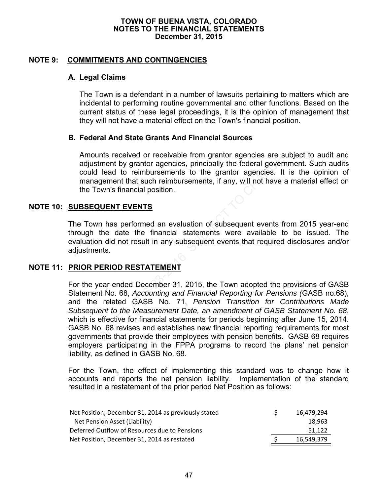### **NOTE 9: COMMITMENTS AND CONTINGENCIES**

### **A. Legal Claims**

The Town is a defendant in a number of lawsuits pertaining to matters which are incidental to performing routine governmental and other functions. Based on the current status of these legal proceedings, it is the opinion of management that they will not have a material effect on the Town's financial position.

### **B. Federal And State Grants And Financial Sources**

Amounts received or receivable from grantor agencies are subject to audit and adjustment by grantor agencies, principally the federal government. Such audits could lead to reimbursements to the grantor agencies. It is the opinion of management that such reimbursements, if any, will not have a material effect on the Town's financial position.

### **NOTE 10: SUBSEQUENT EVENTS**

 The Town has performed an evaluation of subsequent events from 2015 year-end through the date the financial statements were available to be issued. The evaluation did not result in any subsequent events that required disclosures and/or adjustments.

### **NOTE 11: PRIOR PERIOD RESTATEMENT**

 For the year ended December 31, 2015, the Town adopted the provisions of GASB Statement No. 68, *Accounting and Financial Reporting for Pensions (*GASB no.68), and the related GASB No. 71, *Pension Transition for Contributions Made Subsequent to the Measurement Date, an amendment of GASB Statement No. 68*, which is effective for financial statements for periods beginning after June 15, 2014. GASB No. 68 revises and establishes new financial reporting requirements for most governments that provide their employees with pension benefits. GASB 68 requires employers participating in the FPPA programs to record the plans' net pension liability, as defined in GASB No. 68. Internet by grantor agencies are streament by grantor agencies are strench by grantor agencies, principally the federal govern<br>lead to reinbursements to the grantor agencies. It<br>general flat such reimbursements, if any, wi

For the Town, the effect of implementing this standard was to change how it accounts and reports the net pension liability. Implementation of the standard resulted in a restatement of the prior period Net Position as follows:

| Net Position, December 31, 2014 as previously stated | 16.479.294 |
|------------------------------------------------------|------------|
| Net Pension Asset (Liability)                        | 18.963     |
| Deferred Outflow of Resources due to Pensions        | 51.122     |
| Net Position, December 31, 2014 as restated          | 16.549.379 |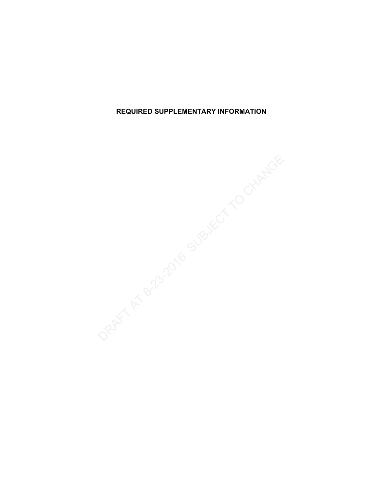**REQUIRED SUPPLEMENTARY INFORMATION**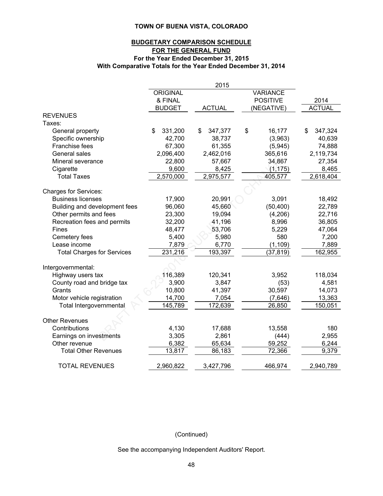### **With Comparative Totals for the Year Ended December 31, 2014 BUDGETARY COMPARISON SCHEDULE FOR THE GENERAL FUND For the Year Ended December 31, 2015**

|                                   |                 | 2015          |                 |               |
|-----------------------------------|-----------------|---------------|-----------------|---------------|
|                                   | <b>ORIGINAL</b> |               | <b>VARIANCE</b> |               |
|                                   | & FINAL         |               | <b>POSITIVE</b> | 2014          |
|                                   | <b>BUDGET</b>   | <b>ACTUAL</b> | (NEGATIVE)      | <b>ACTUAL</b> |
| <b>REVENUES</b>                   |                 |               |                 |               |
| Taxes:                            |                 |               |                 |               |
| General property                  | \$<br>331,200   | \$<br>347,377 | \$<br>16,177    | \$<br>347,324 |
| Specific ownership                | 42,700          | 38,737        | (3,963)         | 40,639        |
| Franchise fees                    | 67,300          | 61,355        | (5,945)         | 74,888        |
| General sales                     | 2,096,400       | 2,462,016     | 365,616         | 2,119,734     |
| Mineral severance                 | 22,800          | 57,667        | 34,867          | 27,354        |
| Cigarette                         | 9,600           | 8,425         | (1, 175)        | 8,465         |
| <b>Total Taxes</b>                | 2,570,000       | 2,975,577     | 405,577         | 2,618,404     |
|                                   |                 |               |                 |               |
| <b>Charges for Services:</b>      |                 |               |                 |               |
| <b>Business licenses</b>          | 17,900          | 20,991        | 3,091           | 18,492        |
| Building and development fees     | 96,060          | 45,660        | (50, 400)       | 22,789        |
| Other permits and fees            | 23,300          | 19,094        | (4,206)         | 22,716        |
| Recreation fees and permits       | 32,200          | 41,196        | 8,996           | 36,805        |
| <b>Fines</b>                      | 48,477          | 53,706        | 5,229           | 47,064        |
| Cemetery fees                     | 5,400           | 5,980         | 580             | 7,200         |
| Lease income                      | 7,879           | 6,770         | (1, 109)        | 7,889         |
| <b>Total Charges for Services</b> | 231,216         | 193,397       | (37, 819)       | 162,955       |
|                                   |                 |               |                 |               |
| Intergovernmental:                |                 |               |                 |               |
| Highway users tax                 | 116,389         | 120,341       | 3,952           | 118,034       |
| County road and bridge tax        | 3,900           | 3,847         | (53)            | 4,581         |
| Grants                            | 10,800          | 41,397        | 30,597          | 14,073        |
| Motor vehicle registration        | 14,700          | 7,054         | (7,646)         | 13,363        |
| Total Intergovernmental           | 145,789         | 172,639       | 26,850          | 150,051       |
|                                   |                 |               |                 |               |
| <b>Other Revenues</b>             |                 |               |                 |               |
| Contributions                     | 4,130           | 17,688        | 13,558          | 180           |
| Earnings on investments           | 3,305           | 2,861         | (444)           | 2,955         |
| Other revenue                     | 6,382           | 65,634        | 59,252          | 6,244         |
| <b>Total Other Revenues</b>       | 13,817          | 86,183        | 72,366          | 9,379         |
|                                   |                 |               |                 |               |
| <b>TOTAL REVENUES</b>             | 2,960,822       | 3,427,796     | 466,974         | 2,940,789     |

### (Continued)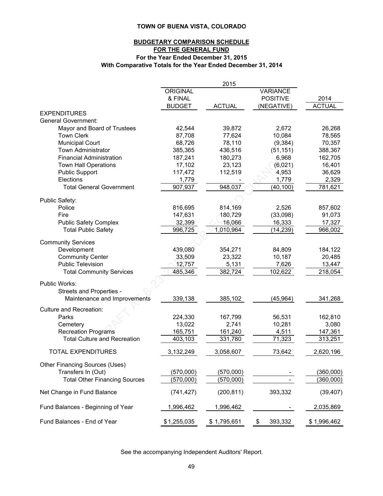#### **BUDGETARY COMPARISON SCHEDULE FOR THE GENERAL FUND For the Year Ended December 31, 2015 With Comparative Totals for the Year Ended December 31, 2014**

|                                        |               | 2015          |                 |               |
|----------------------------------------|---------------|---------------|-----------------|---------------|
|                                        | ORIGINAL      |               | <b>VARIANCE</b> |               |
|                                        | & FINAL       |               | <b>POSITIVE</b> | 2014          |
|                                        | <b>BUDGET</b> | <b>ACTUAL</b> | (NEGATIVE)      | <b>ACTUAL</b> |
| <b>EXPENDITURES</b>                    |               |               |                 |               |
| <b>General Government:</b>             |               |               |                 |               |
| Mayor and Board of Trustees            | 42,544        | 39,872        | 2,672           | 26,268        |
| <b>Town Clerk</b>                      | 87,708        | 77,624        | 10,084          | 78,565        |
| <b>Municipal Court</b>                 | 68,726        | 78,110        | (9, 384)        | 70,357        |
| <b>Town Administrator</b>              | 385,365       | 436,516       | (51, 151)       | 388,367       |
| <b>Financial Administration</b>        | 187,241       | 180,273       | 6,968           | 162,705       |
| <b>Town Hall Operations</b>            | 17,102        | 23,123        | (6,021)         | 16,401        |
| <b>Public Support</b>                  | 117,472       | 112,519       | 4,953           | 36,629        |
| Elections                              | 1,779         |               | 1,779           | 2,329         |
| <b>Total General Government</b>        | 907,937       | 948,037       | (40, 100)       | 781,621       |
|                                        |               |               |                 |               |
| Public Safety:                         |               |               |                 |               |
| Police                                 | 816,695       | 814,169       | 2,526           | 857,602       |
| Fire                                   | 147,631       | 180,729       | (33,098)        | 91,073        |
| <b>Public Safety Complex</b>           | 32,399        | 16,066        | 16,333          | 17,327        |
| <b>Total Public Safety</b>             | 996,725       | 1,010,964     | (14, 239)       | 966,002       |
|                                        |               |               |                 |               |
| <b>Community Services</b>              |               |               |                 |               |
| Development                            | 439,080       | 354,271       | 84,809          | 184,122       |
| <b>Community Center</b>                | 33,509        | 23,322        | 10,187          | 20,485        |
| <b>Public Television</b>               | 12,757        | 5,131         | 7,626           | 13,447        |
| <b>Total Community Services</b>        | 485,346       | 382,724       | 102,622         | 218,054       |
| Public Works:                          |               |               |                 |               |
| Streets and Properties -               |               |               |                 |               |
| Maintenance and Improvements           | 339,138       | 385,102       | (45, 964)       | 341,268       |
|                                        |               |               |                 |               |
| <b>Culture and Recreation:</b>         |               |               |                 |               |
| Parks                                  | 224,330       | 167,799       | 56,531          | 162,810       |
| Cemetery<br><b>Recreation Programs</b> | 13,022        | 2,741         | 10,281          | 3,080         |
|                                        | 165,751       | 161,240       | 4,511           | 147,361       |
| <b>Total Culture and Recreation</b>    | 403,103       | 331,780       | 71,323          | 313,251       |
| <b>TOTAL EXPENDITURES</b>              | 3,132,249     | 3,058,607     | 73,642          | 2,620,196     |
| Other Financing Sources (Uses)         |               |               |                 |               |
|                                        |               |               |                 |               |
| Transfers In (Out)                     | (570,000)     | (570,000)     |                 | (360,000)     |
| <b>Total Other Financing Sources</b>   | (570,000)     | (570,000)     |                 | (360,000)     |
| Net Change in Fund Balance             | (741, 427)    | (200, 811)    | 393,332         | (39, 407)     |
| Fund Balances - Beginning of Year      | 1,996,462     | 1,996,462     |                 | 2,035,869     |
| Fund Balances - End of Year            | \$1,255,035   | \$1,795,651   | 393,332<br>\$   | \$1,996,462   |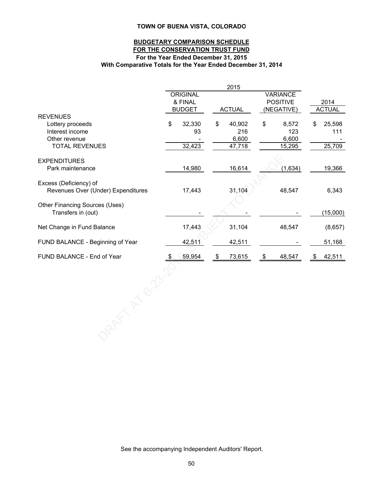#### **For the Year Ended December 31, 2015 With Comparative Totals for the Year Ended December 31, 2014 BUDGETARY COMPARISON SCHEDULE FOR THE CONSERVATION TRUST FUND**

|                                    |      |               |    | 2015          |    |                 |               |
|------------------------------------|------|---------------|----|---------------|----|-----------------|---------------|
|                                    |      | ORIGINAL      |    |               |    | <b>VARIANCE</b> |               |
|                                    |      | & FINAL       |    |               |    | <b>POSITIVE</b> | 2014          |
|                                    |      | <b>BUDGET</b> |    | <b>ACTUAL</b> |    | (NEGATIVE)      | <b>ACTUAL</b> |
| <b>REVENUES</b>                    |      |               |    |               |    |                 |               |
| Lottery proceeds                   | \$   | 32,330        | \$ | 40,902        | \$ | 8,572           | \$<br>25,598  |
| Interest income                    |      | 93            |    | 216           |    | 123             | 111           |
| Other revenue                      |      |               |    | 6,600         |    | 6,600           |               |
| <b>TOTAL REVENUES</b>              |      | 32,423        |    | 47,718        |    | 15,295          | 25,709        |
| <b>EXPENDITURES</b>                |      |               |    |               |    |                 |               |
| Park maintenance                   |      | 14,980        |    | 16,614        |    | (1,634)         | 19,366        |
|                                    |      |               |    |               |    |                 |               |
| Excess (Deficiency) of             |      |               |    |               |    |                 |               |
| Revenues Over (Under) Expenditures |      | 17,443        |    | 31,104        |    | 48,547          | 6,343         |
|                                    |      |               |    |               |    |                 |               |
| Other Financing Sources (Uses)     |      |               |    |               |    |                 |               |
| Transfers in (out)                 |      |               |    |               |    |                 | (15,000)      |
|                                    |      |               |    |               |    |                 |               |
| Net Change in Fund Balance         |      | 17,443        |    | 31,104        |    | 48,547          | (8,657)       |
| FUND BALANCE - Beginning of Year   |      | 42,511        |    | 42,511        |    |                 | 51,168        |
|                                    |      |               |    |               |    |                 |               |
| FUND BALANCE - End of Year         | - \$ | 59,954        | \$ | 73,615        | \$ | 48,547          | \$<br>42,511  |
|                                    |      |               |    |               |    |                 |               |
|                                    |      |               |    |               |    |                 |               |
|                                    |      |               |    |               |    |                 |               |
|                                    |      |               |    |               |    |                 |               |
|                                    |      |               |    |               |    |                 |               |
|                                    |      |               |    |               |    |                 |               |
|                                    |      |               |    |               |    |                 |               |
|                                    |      |               |    |               |    |                 |               |
|                                    |      |               |    |               |    |                 |               |
|                                    |      |               |    |               |    |                 |               |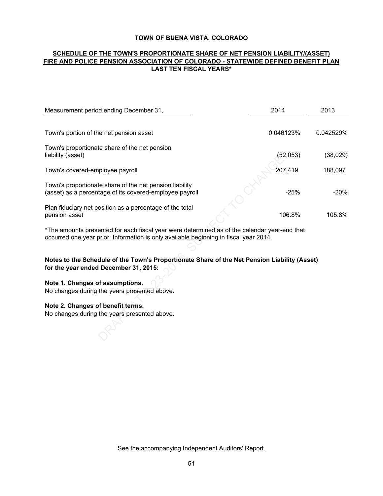#### **LAST TEN FISCAL YEARS\* SCHEDULE OF THE TOWN'S PROPORTIONATE SHARE OF NET PENSION LIABILITY/(ASSET) FIRE AND POLICE PENSION ASSOCIATION OF COLORADO - STATEWIDE DEFINED BENEFIT PLAN**

| Measurement period ending December 31,                                                                                                                                                | 2014      | 2013      |
|---------------------------------------------------------------------------------------------------------------------------------------------------------------------------------------|-----------|-----------|
|                                                                                                                                                                                       |           |           |
| Town's portion of the net pension asset                                                                                                                                               | 0.046123% | 0.042529% |
| Town's proportionate share of the net pension                                                                                                                                         |           |           |
| liability (asset)                                                                                                                                                                     | (52,053)  | (38,029)  |
| Town's covered-employee payroll                                                                                                                                                       | 207,419   | 188,097   |
| Town's proportionate share of the net pension liability                                                                                                                               |           |           |
| (asset) as a percentage of its covered-employee payroll                                                                                                                               | $-25%$    | -20%      |
| Plan fiduciary net position as a percentage of the total                                                                                                                              |           |           |
| pension asset                                                                                                                                                                         | 106.8%    | 105.8%    |
| *The amounts presented for each fiscal year were determined as of the calendar year-end that<br>occurred one year prior. Information is only available beginning in fiscal year 2014. |           |           |
|                                                                                                                                                                                       |           |           |
| Notes to the Schedule of the Town's Proportionate Share of the Net Pension Liability (Asset)<br>for the year ended December 31, 2015:                                                 |           |           |
| Note 1. Changes of assumptions.                                                                                                                                                       |           |           |
| No changes during the years presented above.                                                                                                                                          |           |           |
| Note 2. Changes of benefit terms.                                                                                                                                                     |           |           |
| No changes during the years presented above.                                                                                                                                          |           |           |
|                                                                                                                                                                                       |           |           |
|                                                                                                                                                                                       |           |           |

### **Notes to the Schedule of the Town's Proportionate Share of the Net Pension Liability (Asset) for the year ended December 31, 2015:**

### **Note 1. Changes of assumptions.**

#### **Note 2. Changes of benefit terms.**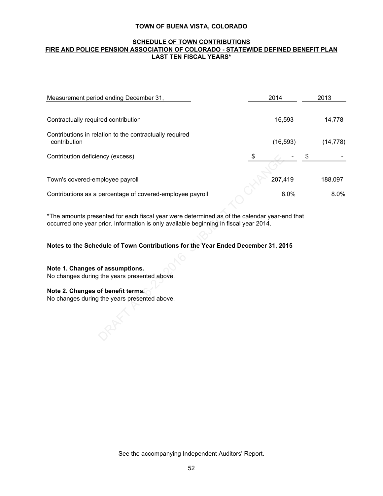#### **SCHEDULE OF TOWN CONTRIBUTIONS FIRE AND POLICE PENSION ASSOCIATION OF COLORADO - STATEWIDE DEFINED BENEFIT PLAN LAST TEN FISCAL YEARS\***

| 2013      |
|-----------|
|           |
| 14,778    |
| (14, 778) |
|           |
|           |
| 188,097   |
| 8.0%      |
|           |
|           |
|           |
|           |
|           |
|           |
|           |
|           |
|           |
|           |
|           |
|           |

#### **Notes to the Schedule of Town Contributions for the Year Ended December 31, 2015**

### **Note 2. Changes of benefit terms.**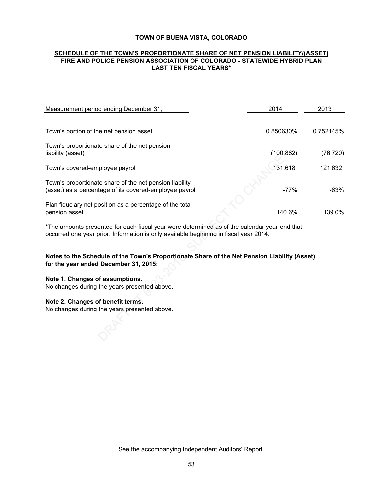#### **SCHEDULE OF THE TOWN'S PROPORTIONATE SHARE OF NET PENSION LIABILITY/(ASSET) FIRE AND POLICE PENSION ASSOCIATION OF COLORADO - STATEWIDE HYBRID PLAN LAST TEN FISCAL YEARS\***

| Measurement period ending December 31,                                                                                                                                                                                   | 2014       | 2013      |  |
|--------------------------------------------------------------------------------------------------------------------------------------------------------------------------------------------------------------------------|------------|-----------|--|
|                                                                                                                                                                                                                          |            |           |  |
| Town's portion of the net pension asset                                                                                                                                                                                  | 0.850630%  | 0.752145% |  |
| Town's proportionate share of the net pension<br>liability (asset)                                                                                                                                                       | (100, 882) | (76, 720) |  |
| Town's covered-employee payroll                                                                                                                                                                                          | 131,618    | 121,632   |  |
| Town's proportionate share of the net pension liability<br>(asset) as a percentage of its covered-employee payroll                                                                                                       | $-77%$     | $-63%$    |  |
| Plan fiduciary net position as a percentage of the total<br>pension asset                                                                                                                                                | 140.6%     | 139.0%    |  |
| *The amounts presented for each fiscal year were determined as of the calendar year-end that<br>occurred one year prior. Information is only available beginning in fiscal year 2014.                                    |            |           |  |
| Notes to the Schedule of the Town's Proportionate Share of the Net Pension Liability (Asset)<br>for the year ended December 31, 2015:<br>Note 1. Changes of assumptions.<br>No changes during the years presented above. |            |           |  |
| Note 2. Changes of benefit terms.<br>No changes during the years presented above.                                                                                                                                        |            |           |  |

#### **Note 2. Changes of benefit terms.**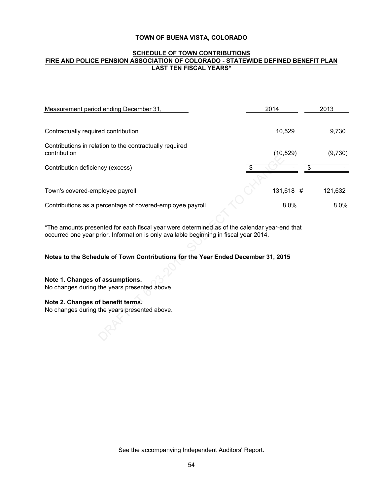#### **SCHEDULE OF TOWN CONTRIBUTIONS FIRE AND POLICE PENSION ASSOCIATION OF COLORADO - STATEWIDE DEFINED BENEFIT PLAN LAST TEN FISCAL YEARS\***

| Measurement period ending December 31,                                                                                                                                                | 2014      | 2013    |
|---------------------------------------------------------------------------------------------------------------------------------------------------------------------------------------|-----------|---------|
|                                                                                                                                                                                       |           |         |
| Contractually required contribution                                                                                                                                                   | 10,529    | 9,730   |
| Contributions in relation to the contractually required<br>contribution                                                                                                               | (10, 529) | (9,730) |
|                                                                                                                                                                                       |           |         |
| Contribution deficiency (excess)                                                                                                                                                      |           | \$      |
|                                                                                                                                                                                       |           |         |
| Town's covered-employee payroll                                                                                                                                                       | 131,618 # | 121,632 |
| Contributions as a percentage of covered-employee payroll                                                                                                                             | 8.0%      | 8.0%    |
|                                                                                                                                                                                       |           |         |
| *The amounts presented for each fiscal year were determined as of the calendar year-end that<br>occurred one year prior. Information is only available beginning in fiscal year 2014. |           |         |
|                                                                                                                                                                                       |           |         |
| Notes to the Schedule of Town Contributions for the Year Ended December 31, 2015                                                                                                      |           |         |
|                                                                                                                                                                                       |           |         |
|                                                                                                                                                                                       |           |         |
| Note 1. Changes of assumptions.                                                                                                                                                       |           |         |
| No changes during the years presented above.                                                                                                                                          |           |         |
| Note 2. Changes of benefit terms.                                                                                                                                                     |           |         |
|                                                                                                                                                                                       |           |         |
|                                                                                                                                                                                       |           |         |
|                                                                                                                                                                                       |           |         |
|                                                                                                                                                                                       |           |         |
| No changes during the years presented above.                                                                                                                                          |           |         |

#### **Note 2. Changes of benefit terms.**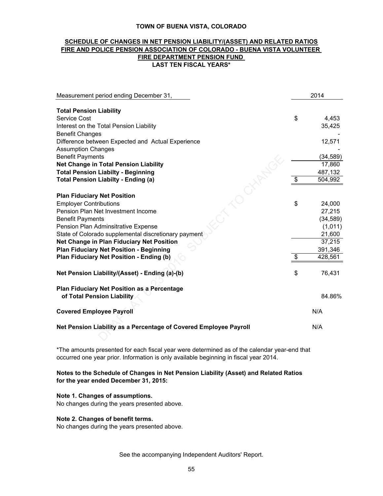#### **SCHEDULE OF CHANGES IN NET PENSION LIABILITY/(ASSET) AND RELATED RATIOS FIRE AND POLICE PENSION ASSOCIATION OF COLORADO - BUENA VISTA VOLUNTEER LAST TEN FISCAL YEARS\* FIRE DEPARTMENT PENSION FUND**

| Measurement period ending December 31,                            | 2014          |
|-------------------------------------------------------------------|---------------|
|                                                                   |               |
| <b>Total Pension Liability</b>                                    |               |
| Service Cost                                                      | \$<br>4,453   |
| Interest on the Total Pension Liability                           | 35,425        |
| <b>Benefit Changes</b>                                            |               |
| Difference between Expected and Actual Experience                 | 12,571        |
| <b>Assumption Changes</b>                                         |               |
| <b>Benefit Payments</b>                                           | (34, 589)     |
| Net Change in Total Pension Liability                             | 17,860        |
| <b>Total Pension Liabilty - Beginning</b>                         | 487,132       |
| <b>Total Pension Liabilty - Ending (a)</b>                        | \$<br>504,992 |
|                                                                   |               |
| <b>Plan Fiduciary Net Position</b>                                |               |
| <b>Employer Contributions</b>                                     | \$<br>24,000  |
| Pension Plan Net Investment Income                                | 27,215        |
| <b>Benefit Payments</b>                                           | (34, 589)     |
| Pension Plan Adminsitrative Expense                               | (1,011)       |
| State of Colorado supplemental discretionary payment              | 21,600        |
| Net Change in Plan Fiduciary Net Position                         | 37,215        |
| <b>Plan Fiduciary Net Position - Beginning</b>                    | 391,346       |
| Plan Fiduciary Net Position - Ending (b)                          | \$<br>428,561 |
|                                                                   |               |
| Net Pension Liability/(Asset) - Ending (a)-(b)                    | \$<br>76,431  |
|                                                                   |               |
| Plan Fiduciary Net Position as a Percentage                       |               |
| of Total Pension Liability                                        | 84.86%        |
| <b>Covered Employee Payroll</b>                                   | N/A           |
|                                                                   |               |
| Net Pension Liability as a Percentage of Covered Employee Payroll | N/A           |
|                                                                   |               |

\*The amounts presented for each fiscal year were determined as of the calendar year-end that occurred one year prior. Information is only available beginning in fiscal year 2014.

#### **Notes to the Schedule of Changes in Net Pension Liability (Asset) and Related Ratios for the year ended December 31, 2015:**

#### **Note 1. Changes of assumptions.**

No changes during the years presented above.

#### **Note 2. Changes of benefit terms.**

No changes during the years presented above.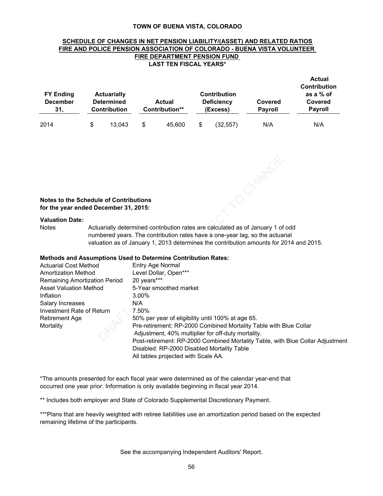#### **SCHEDULE OF CHANGES IN NET PENSION LIABILITY/(ASSET) AND RELATED RATIOS FIRE AND POLICE PENSION ASSOCIATION OF COLORADO - BUENA VISTA VOLUNTEER FIRE DEPARTMENT PENSION FUND LAST TEN FISCAL YEARS\***

| <b>FY Ending</b><br><b>December</b><br>31. |   | <b>Actuarially</b><br><b>Determined</b><br><b>Contribution</b> | Actual<br>Contribution** | <b>Contribution</b><br><b>Deficiency</b><br>(Excess) | Covered<br><b>Payroll</b> | <b>Actual</b><br><b>Contribution</b><br>as a % of<br>Covered<br><b>Payroll</b> |
|--------------------------------------------|---|----------------------------------------------------------------|--------------------------|------------------------------------------------------|---------------------------|--------------------------------------------------------------------------------|
| 2014                                       | S | 13.043                                                         | \$<br>45.600             | \$<br>(32, 557)                                      | N/A                       | N/A                                                                            |



#### **Valuation Date:**

#### **Methods and Assumptions Used to Determine Contribution Rates:**

| Notes to the Schedule of Contributions<br>for the year ended December 31, 2015: |                                                                                                                                                                                                                                                          |
|---------------------------------------------------------------------------------|----------------------------------------------------------------------------------------------------------------------------------------------------------------------------------------------------------------------------------------------------------|
|                                                                                 |                                                                                                                                                                                                                                                          |
| <b>Valuation Date:</b><br><b>Notes</b>                                          | Actuarially determined contnbution rates are calculated as of January 1 of odd<br>numbered years. The contribution rates have a one-year lag, so the actuarial<br>valuation as of January 1, 2013 determines the contribution amounts for 2014 and 2015. |
|                                                                                 | <b>Methods and Assumptions Used to Determine Contribution Rates:</b>                                                                                                                                                                                     |
| <b>Actuarial Cost Method</b>                                                    | Entry Age Normal                                                                                                                                                                                                                                         |
| <b>Amortization Method</b>                                                      | Level Dollar, Open***                                                                                                                                                                                                                                    |
| Remaining Amortization Period                                                   | 20 years***                                                                                                                                                                                                                                              |
| <b>Asset Valuation Method</b>                                                   | 5-Year smoothed market                                                                                                                                                                                                                                   |
| Inflation                                                                       | $3.00\%$                                                                                                                                                                                                                                                 |
| Salary Increases                                                                | N/A                                                                                                                                                                                                                                                      |
| Investment Rate of Return                                                       | 7.50%                                                                                                                                                                                                                                                    |
| <b>Retirement Age</b>                                                           | 50% per year of eligibility until 100% at age 65.                                                                                                                                                                                                        |
| Mortality                                                                       | Pre-retirement: RP-2000 Combined Mortality Table with Blue Collar<br>Adjustment, 40% multiplier for off-duty mortality.<br>Post-retirement: RP-2000 Combined Mortality Table, with Blue Collar Adjustment                                                |
|                                                                                 | Disabled: RP-2000 Disabled Mortality Table<br>All tables projected with Scale AA.                                                                                                                                                                        |

\*The amounts presented for each fiscal year were determined as of the calendar year-end that occurred one year prior. Information is only available beginning in fiscal year 2014.

\*\* Includes both employer and State of Colorado Supplemental Discretionary Payment.

\*\*\*Plans that are heavily weighted with retiree liabilities use an amortization period based on the expected remaining lifetime of the participants.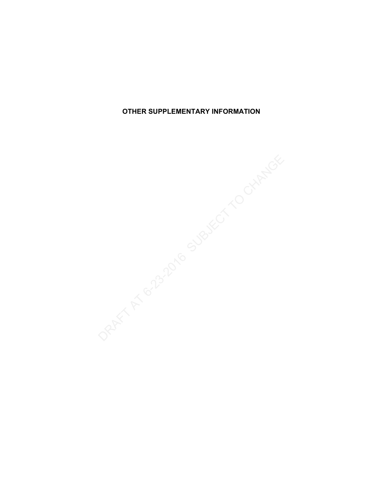**OTHER SUPPLEMENTARY INFORMATION**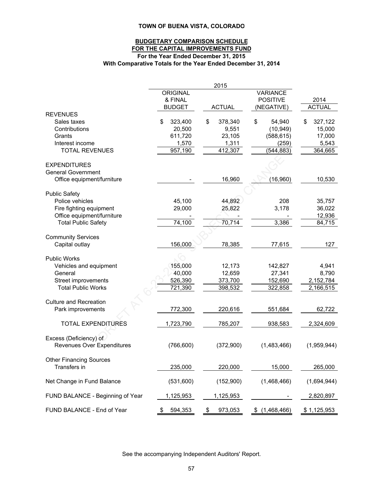#### **BUDGETARY COMPARISON SCHEDULE FOR THE CAPITAL IMPROVEMENTS FUND For the Year Ended December 31, 2015 With Comparative Totals for the Year Ended December 31, 2014**

|               | 2015                                                                                                                                                                                                                                            |                                                                                                                                                                                                                       |                                                                                                                                                                                                                                                         |
|---------------|-------------------------------------------------------------------------------------------------------------------------------------------------------------------------------------------------------------------------------------------------|-----------------------------------------------------------------------------------------------------------------------------------------------------------------------------------------------------------------------|---------------------------------------------------------------------------------------------------------------------------------------------------------------------------------------------------------------------------------------------------------|
|               |                                                                                                                                                                                                                                                 |                                                                                                                                                                                                                       |                                                                                                                                                                                                                                                         |
|               |                                                                                                                                                                                                                                                 |                                                                                                                                                                                                                       | 2014                                                                                                                                                                                                                                                    |
|               |                                                                                                                                                                                                                                                 |                                                                                                                                                                                                                       | <b>ACTUAL</b>                                                                                                                                                                                                                                           |
|               |                                                                                                                                                                                                                                                 |                                                                                                                                                                                                                       |                                                                                                                                                                                                                                                         |
|               |                                                                                                                                                                                                                                                 |                                                                                                                                                                                                                       | 327,122<br>S                                                                                                                                                                                                                                            |
|               |                                                                                                                                                                                                                                                 |                                                                                                                                                                                                                       | 15,000                                                                                                                                                                                                                                                  |
|               |                                                                                                                                                                                                                                                 |                                                                                                                                                                                                                       |                                                                                                                                                                                                                                                         |
|               |                                                                                                                                                                                                                                                 |                                                                                                                                                                                                                       | 17,000                                                                                                                                                                                                                                                  |
|               |                                                                                                                                                                                                                                                 |                                                                                                                                                                                                                       | 5,543                                                                                                                                                                                                                                                   |
|               |                                                                                                                                                                                                                                                 |                                                                                                                                                                                                                       | 364,665                                                                                                                                                                                                                                                 |
|               |                                                                                                                                                                                                                                                 |                                                                                                                                                                                                                       |                                                                                                                                                                                                                                                         |
|               |                                                                                                                                                                                                                                                 |                                                                                                                                                                                                                       |                                                                                                                                                                                                                                                         |
|               |                                                                                                                                                                                                                                                 |                                                                                                                                                                                                                       |                                                                                                                                                                                                                                                         |
|               |                                                                                                                                                                                                                                                 |                                                                                                                                                                                                                       | 10,530                                                                                                                                                                                                                                                  |
|               |                                                                                                                                                                                                                                                 |                                                                                                                                                                                                                       |                                                                                                                                                                                                                                                         |
|               |                                                                                                                                                                                                                                                 |                                                                                                                                                                                                                       |                                                                                                                                                                                                                                                         |
|               |                                                                                                                                                                                                                                                 |                                                                                                                                                                                                                       | 35,757                                                                                                                                                                                                                                                  |
|               |                                                                                                                                                                                                                                                 |                                                                                                                                                                                                                       | 36,022                                                                                                                                                                                                                                                  |
|               |                                                                                                                                                                                                                                                 |                                                                                                                                                                                                                       | 12,936                                                                                                                                                                                                                                                  |
| 74,100        | 70,714                                                                                                                                                                                                                                          | 3,386                                                                                                                                                                                                                 | 84,715                                                                                                                                                                                                                                                  |
|               |                                                                                                                                                                                                                                                 |                                                                                                                                                                                                                       |                                                                                                                                                                                                                                                         |
|               |                                                                                                                                                                                                                                                 |                                                                                                                                                                                                                       |                                                                                                                                                                                                                                                         |
| 156,000       | 78,385                                                                                                                                                                                                                                          | 77,615                                                                                                                                                                                                                | 127                                                                                                                                                                                                                                                     |
|               |                                                                                                                                                                                                                                                 |                                                                                                                                                                                                                       |                                                                                                                                                                                                                                                         |
|               |                                                                                                                                                                                                                                                 |                                                                                                                                                                                                                       |                                                                                                                                                                                                                                                         |
|               |                                                                                                                                                                                                                                                 |                                                                                                                                                                                                                       | 4,941                                                                                                                                                                                                                                                   |
|               |                                                                                                                                                                                                                                                 |                                                                                                                                                                                                                       | 8,790                                                                                                                                                                                                                                                   |
|               |                                                                                                                                                                                                                                                 |                                                                                                                                                                                                                       | 2,152,784                                                                                                                                                                                                                                               |
|               |                                                                                                                                                                                                                                                 |                                                                                                                                                                                                                       | 2,166,515                                                                                                                                                                                                                                               |
|               |                                                                                                                                                                                                                                                 |                                                                                                                                                                                                                       |                                                                                                                                                                                                                                                         |
|               |                                                                                                                                                                                                                                                 |                                                                                                                                                                                                                       |                                                                                                                                                                                                                                                         |
|               |                                                                                                                                                                                                                                                 |                                                                                                                                                                                                                       | 62,722                                                                                                                                                                                                                                                  |
|               |                                                                                                                                                                                                                                                 |                                                                                                                                                                                                                       |                                                                                                                                                                                                                                                         |
|               |                                                                                                                                                                                                                                                 |                                                                                                                                                                                                                       | 2,324,609                                                                                                                                                                                                                                               |
|               |                                                                                                                                                                                                                                                 |                                                                                                                                                                                                                       |                                                                                                                                                                                                                                                         |
|               |                                                                                                                                                                                                                                                 |                                                                                                                                                                                                                       |                                                                                                                                                                                                                                                         |
|               |                                                                                                                                                                                                                                                 |                                                                                                                                                                                                                       | (1,959,944)                                                                                                                                                                                                                                             |
|               |                                                                                                                                                                                                                                                 |                                                                                                                                                                                                                       |                                                                                                                                                                                                                                                         |
|               |                                                                                                                                                                                                                                                 |                                                                                                                                                                                                                       |                                                                                                                                                                                                                                                         |
|               |                                                                                                                                                                                                                                                 |                                                                                                                                                                                                                       | 265,000                                                                                                                                                                                                                                                 |
|               |                                                                                                                                                                                                                                                 |                                                                                                                                                                                                                       | (1,694,944)                                                                                                                                                                                                                                             |
|               |                                                                                                                                                                                                                                                 |                                                                                                                                                                                                                       |                                                                                                                                                                                                                                                         |
|               |                                                                                                                                                                                                                                                 |                                                                                                                                                                                                                       | 2,820,897                                                                                                                                                                                                                                               |
|               |                                                                                                                                                                                                                                                 |                                                                                                                                                                                                                       |                                                                                                                                                                                                                                                         |
| 594,353<br>\$ | 973,053<br>\$                                                                                                                                                                                                                                   | (1,468,466)<br>\$                                                                                                                                                                                                     | \$1,125,953                                                                                                                                                                                                                                             |
|               | <b>ORIGINAL</b><br>& FINAL<br><b>BUDGET</b><br>323,400<br>\$<br>20,500<br>611,720<br>1,570<br>957,190<br>45,100<br>29,000<br>155,000<br>40,000<br>526,390<br>721,390<br>772,300<br>1,723,790<br>(766, 600)<br>235,000<br>(531,600)<br>1,125,953 | <b>ACTUAL</b><br>\$<br>378,340<br>9,551<br>23,105<br>1,311<br>412,307<br>16,960<br>44,892<br>25,822<br>12,173<br>12,659<br>373,700<br>398,532<br>220,616<br>785,207<br>(372,900)<br>220,000<br>(152,900)<br>1,125,953 | <b>VARIANCE</b><br><b>POSITIVE</b><br>(NEGATIVE)<br>\$<br>54,940<br>(10, 949)<br>(588, 615)<br>(259)<br>(544, 883)<br>(16,960)<br>208<br>3,178<br>142,827<br>27,341<br>152,690<br>322,858<br>551,684<br>938,583<br>(1,483,466)<br>15,000<br>(1,468,466) |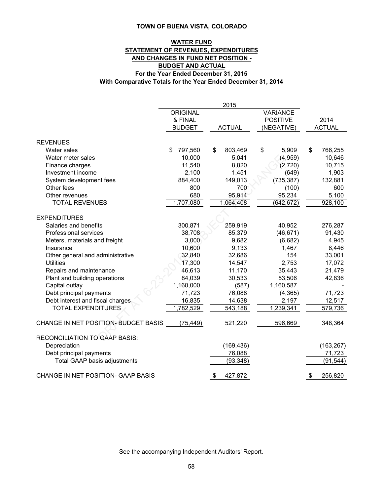### **WATER FUND STATEMENT OF REVENUES, EXPENDITURES AND CHANGES IN FUND NET POSITION - BUDGET AND ACTUAL For the Year Ended December 31, 2015 With Comparative Totals for the Year Ended December 31, 2014**

|                                      |                 | 2015          |                 |               |  |
|--------------------------------------|-----------------|---------------|-----------------|---------------|--|
|                                      | <b>ORIGINAL</b> |               | <b>VARIANCE</b> |               |  |
|                                      | & FINAL         |               | <b>POSITIVE</b> | 2014          |  |
|                                      | <b>BUDGET</b>   | <b>ACTUAL</b> | (NEGATIVE)      | <b>ACTUAL</b> |  |
|                                      |                 |               |                 |               |  |
| <b>REVENUES</b>                      |                 |               |                 |               |  |
| Water sales                          | 797,560<br>\$   | \$<br>803,469 | \$<br>5,909     | \$<br>766,255 |  |
| Water meter sales                    | 10,000          | 5,041         | (4,959)         | 10,646        |  |
| Finance charges                      | 11,540          | 8,820         | (2,720)         | 10,715        |  |
| Investment income                    | 2,100           | 1,451         | (649)           | 1,903         |  |
| System development fees              | 884,400         | 149,013       | (735, 387)      | 132,881       |  |
| Other fees                           | 800             | 700           | (100)           | 600           |  |
| Other revenues                       | 680             | 95,914        | 95,234          | 5,100         |  |
| <b>TOTAL REVENUES</b>                | 1,707,080       | 1,064,408     | (642, 672)      | 928,100       |  |
| <b>EXPENDITURES</b>                  |                 |               |                 |               |  |
| Salaries and benefits                | 300,871         | 259,919       | 40,952          | 276,287       |  |
| Professional services                | 38,708          | 85,379        | (46, 671)       | 91,430        |  |
| Meters, materials and freight        | 3,000           | 9,682         | (6,682)         | 4,945         |  |
| Insurance                            | 10,600          | 9,133         | 1,467           | 8,446         |  |
| Other general and administrative     | 32,840          | 32,686        | 154             | 33,001        |  |
| <b>Utilities</b>                     | 17,300          | 14,547        | 2,753           | 17,072        |  |
| Repairs and maintenance              | 46,613          | 11,170        | 35,443          | 21,479        |  |
| Plant and building operations        | 84,039          | 30,533        | 53,506          | 42,836        |  |
| Capital outlay                       | 1,160,000       | (587)         | 1,160,587       |               |  |
| Debt principal payments              | 71,723          | 76,088        | (4, 365)        | 71,723        |  |
| Debt interest and fiscal charges     | 16,835          | 14,638        | 2,197           | 12,517        |  |
| <b>TOTAL EXPENDITURES</b>            | 1,782,529       | 543,188       | 1,239,341       | 579,736       |  |
| CHANGE IN NET POSITION- BUDGET BASIS |                 | 521,220       | 596,669         | 348,364       |  |
|                                      | (75, 449)       |               |                 |               |  |
| <b>RECONCILIATION TO GAAP BASIS:</b> |                 |               |                 |               |  |
| Depreciation                         |                 | (169, 436)    |                 | (163, 267)    |  |
| Debt principal payments              |                 | 76,088        |                 | 71,723        |  |
| Total GAAP basis adjustments         |                 | (93, 348)     |                 | (91, 544)     |  |
|                                      |                 |               |                 |               |  |
| CHANGE IN NET POSITION- GAAP BASIS   |                 | 427,872<br>\$ |                 | 256,820<br>\$ |  |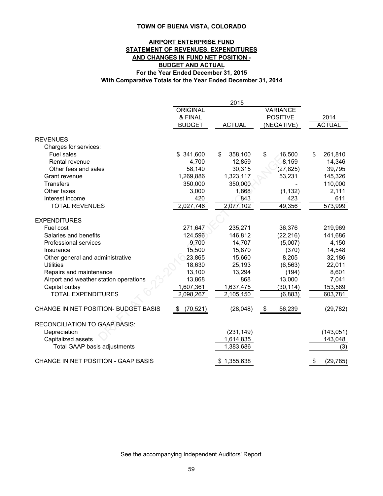#### **AIRPORT ENTERPRISE FUND STATEMENT OF REVENUES, EXPENDITURES AND CHANGES IN FUND NET POSITION - BUDGET AND ACTUAL For the Year Ended December 31, 2015 With Comparative Totals for the Year Ended December 31, 2014**

|                                        |                 | 2015           |                 |                 |
|----------------------------------------|-----------------|----------------|-----------------|-----------------|
|                                        | <b>ORIGINAL</b> |                | <b>VARIANCE</b> |                 |
|                                        | & FINAL         |                | <b>POSITIVE</b> | 2014            |
|                                        | <b>BUDGET</b>   | <b>ACTUAL</b>  | (NEGATIVE)      | <b>ACTUAL</b>   |
| <b>REVENUES</b>                        |                 |                |                 |                 |
| Charges for services:                  |                 |                |                 |                 |
| Fuel sales                             | \$341,600       | 358,100<br>\$  | \$<br>16,500    | \$<br>261,810   |
| Rental revenue                         | 4,700           | 12,859         | 8,159           | 14,346          |
| Other fees and sales                   | 58,140          | 30,315         | (27, 825)       | 39,795          |
| Grant revenue                          | 1,269,886       | 1,323,117      | 53,231          | 145,326         |
| <b>Transfers</b>                       | 350,000         | 350,000        |                 | 110,000         |
| Other taxes                            | 3,000           | 1,868          | (1, 132)        | 2,111           |
| Interest income                        | 420             | 843            | 423             | 611             |
| <b>TOTAL REVENUES</b>                  | 2,027,746       | 2,077,102      | 49,356          | 573,999         |
| <b>EXPENDITURES</b>                    |                 |                |                 |                 |
| Fuel cost                              | 271,647         | 235,271        | 36,376          | 219,969         |
| Salaries and benefits                  | 124,596         | 146,812        | (22, 216)       | 141,686         |
| Professional services                  | 9,700           | 14,707         | (5,007)         | 4,150           |
| Insurance                              | 15,500          | 15,870         | (370)           | 14,548          |
| Other general and administrative       | 23,865          | 15,660         | 8,205           | 32,186          |
| <b>Utilities</b>                       | 18,630          | 25,193         | (6, 563)        | 22,011          |
| Repairs and maintenance                | 13,100          | 13,294         | (194)           | 8,601           |
| Airport and weather station operations | 13,868          | 868            | 13,000          | 7,041           |
| Capital outlay                         | 1,607,361       | 1,637,475      | (30, 114)       | 153,589         |
| <b>TOTAL EXPENDITURES</b>              | 2,098,267       | 2,105,150      | (6,883)         | 603,781         |
| CHANGE IN NET POSITION- BUDGET BASIS   | (70, 521)<br>\$ | (28, 048)      | 56,239<br>\$    | (29, 782)       |
| <b>RECONCILIATION TO GAAP BASIS:</b>   |                 |                |                 |                 |
| Depreciation                           |                 | (231, 149)     |                 | (143, 051)      |
| Capitalized assets                     |                 | 1,614,835      |                 | 143,048         |
| Total GAAP basis adjustments           |                 | 1,383,686      |                 | (3)             |
| CHANGE IN NET POSITION - GAAP BASIS    |                 | 1,355,638<br>S |                 | \$<br>(29, 785) |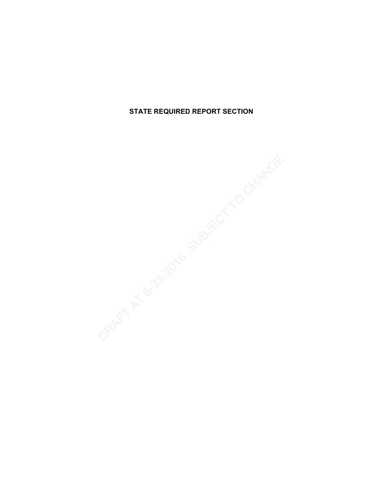**STATE REQUIRED REPORT SECTION**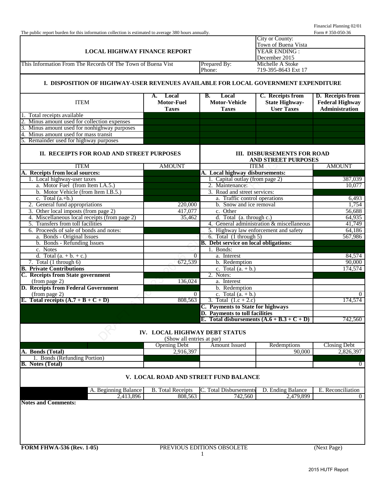| The public report burden for this information collection is estimated to average 380 hours annually. |                                                            |                                              |                                                           | Form #350-050-36        |
|------------------------------------------------------------------------------------------------------|------------------------------------------------------------|----------------------------------------------|-----------------------------------------------------------|-------------------------|
|                                                                                                      |                                                            |                                              | City or County:                                           |                         |
|                                                                                                      |                                                            |                                              | Town of Buena Vista                                       |                         |
| <b>LOCAL HIGHWAY FINANCE REPORT</b>                                                                  |                                                            |                                              | YEAR ENDING:                                              |                         |
|                                                                                                      |                                                            |                                              | December 2015                                             |                         |
| This Information From The Records Of The Town of Buena Vist                                          |                                                            | Prepared By:                                 | Michelle A Stoke                                          |                         |
|                                                                                                      |                                                            | Phone:                                       | 719-395-8643 Ext 17                                       |                         |
| I. DISPOSITION OF HIGHWAY-USER REVENUES AVAILABLE FOR LOCAL GOVERNMENT EXPENDITURE                   |                                                            |                                              |                                                           |                         |
|                                                                                                      | Local<br>A.                                                | В.<br>Local                                  | C. Receipts from                                          | <b>D.</b> Receipts from |
| <b>ITEM</b>                                                                                          | Motor-Fuel                                                 | <b>Motor-Vehicle</b>                         | <b>State Highway-</b>                                     | <b>Federal Highway</b>  |
|                                                                                                      | <b>Taxes</b>                                               | <b>Taxes</b>                                 | <b>User Taxes</b>                                         | <b>Administration</b>   |
| Total receipts available                                                                             |                                                            |                                              |                                                           |                         |
| Minus amount used for collection expenses                                                            |                                                            |                                              |                                                           |                         |
| Minus amount used for nonhighway purposes                                                            |                                                            |                                              |                                                           |                         |
| $\overline{4}$ .<br>Minus amount used for mass transit                                               |                                                            |                                              |                                                           |                         |
| Remainder used for highway purposes                                                                  |                                                            |                                              |                                                           |                         |
|                                                                                                      |                                                            |                                              |                                                           |                         |
| II. RECEIPTS FOR ROAD AND STREET PURPOSES                                                            |                                                            |                                              | <b>III. DISBURSEMENTS FOR ROAD</b><br>AND STREET PURPOSES |                         |
| <b>ITEM</b>                                                                                          | <b>AMOUNT</b>                                              |                                              | <b>ITEM</b>                                               | <b>AMOUNT</b>           |
| A. Receipts from local sources:                                                                      |                                                            | A. Local highway disbursements:              |                                                           |                         |
| 1. Local highway-user taxes                                                                          |                                                            | 1. Capital outlay (from page 2)              |                                                           | 387,039                 |
| a. Motor Fuel (from Item I.A.5.)                                                                     |                                                            | 2. Maintenance:                              |                                                           | 10,077                  |
| b. Motor Vehicle (from Item I.B.5.)                                                                  |                                                            | 3. Road and street services:                 |                                                           |                         |
| c. Total $(a.+b.)$                                                                                   |                                                            | a. Traffic control operations                |                                                           | 6,493                   |
| 2. General fund appropriations                                                                       | 220,000                                                    | b. Snow and ice removal                      |                                                           | 1,754                   |
| 3. Other local imposts (from page 2)                                                                 | 417,077                                                    | c. Other                                     |                                                           | 56,688                  |
| 4. Miscellaneous local receipts (from page 2)                                                        | 35,462                                                     | d. Total (a. through c.)                     |                                                           | 64,935                  |
| 5. Transfers from toll facilities                                                                    |                                                            |                                              | 4. General administration & miscellaneous                 | 41,749                  |
|                                                                                                      |                                                            |                                              |                                                           |                         |
| 6. Proceeds of sale of bonds and notes:                                                              |                                                            |                                              | 5. Highway law enforcement and safety                     | 64,186                  |
| a. Bonds - Original Issues                                                                           |                                                            | 6. Total $(1$ through 5)                     |                                                           | 567,986                 |
| b. Bonds - Refunding Issues                                                                          |                                                            | <b>B.</b> Debt service on local obligations: |                                                           |                         |
| c. Notes                                                                                             |                                                            | 1. Bonds:                                    |                                                           |                         |
| d. Total $(a. + b. + c.)$                                                                            | $\overline{0}$                                             | $\overline{a}$ . Interest                    |                                                           | 84,574                  |
| 7. Total $(1$ through $6)$                                                                           | 672,539                                                    | b. Redemption                                |                                                           | 90,000                  |
| <b>B.</b> Private Contributions                                                                      |                                                            | c. Total $(a. + b.)$                         |                                                           | 174,574                 |
| C. Receipts from State government                                                                    |                                                            | 2. Notes:                                    |                                                           |                         |
| (from page 2)                                                                                        | 136,024                                                    | a. Interest                                  |                                                           |                         |
| <b>D. Receipts from Federal Government</b>                                                           |                                                            | b. Redemption                                |                                                           |                         |
| (from page 2)                                                                                        | $\overline{0}$                                             | c. Total $(a. + b.)$                         |                                                           | $\Omega$                |
| E. Total receipts $(A.7 + B + C + D)$                                                                | 808,563                                                    | 3. Total $(1.c + 2.c)$                       |                                                           | 174,574                 |
|                                                                                                      |                                                            | C. Payments to State for highways            |                                                           |                         |
|                                                                                                      |                                                            | D. Payments to toll facilities               |                                                           |                         |
|                                                                                                      |                                                            | E. Total disbursements $(A.6 + B.3 + C + D)$ |                                                           | 742,560                 |
|                                                                                                      | IV. LOCAL HIGHWAY DEBT STATUS<br>(Show all entries at par) |                                              |                                                           |                         |
|                                                                                                      | <b>Opening Debt</b>                                        | Amount Issued                                | Redemptions                                               | <b>Closing Debt</b>     |
| A. Bonds (Total)                                                                                     | 2,916,397                                                  |                                              | 90,000                                                    | 2,826,397               |
| 1. Bonds (Refunding Portion)                                                                         |                                                            |                                              |                                                           |                         |
| <b>B.</b> Notes (Total)                                                                              |                                                            |                                              |                                                           | $\overline{0}$          |
|                                                                                                      |                                                            |                                              |                                                           |                         |
|                                                                                                      |                                                            | V. LOCAL ROAD AND STREET FUND BALANCE        |                                                           |                         |
| A. Beginning Balance                                                                                 | <b>B.</b> Total Receipts                                   | C. Total Disbursements                       | D. Ending Balance                                         | E. Reconciliation       |
| 2,413,896                                                                                            | 808,563                                                    | 742,560                                      | 2,479,899                                                 | $\theta$                |
| <b>Notes and Comments:</b>                                                                           |                                                            |                                              |                                                           |                         |
|                                                                                                      |                                                            |                                              |                                                           |                         |
|                                                                                                      |                                                            |                                              |                                                           |                         |
|                                                                                                      |                                                            |                                              |                                                           |                         |
|                                                                                                      |                                                            |                                              |                                                           |                         |
|                                                                                                      |                                                            |                                              |                                                           |                         |
|                                                                                                      |                                                            |                                              |                                                           |                         |